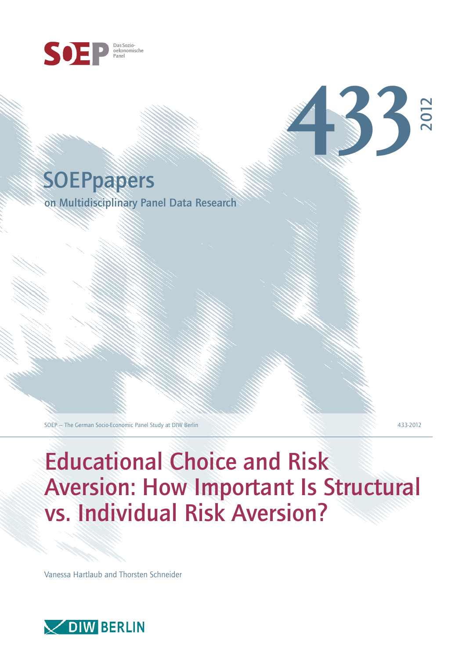



on Multidisciplinary Panel Data Research

SOEP – The German Socio-Economic Panel Study at DIW Berlin 433-2012

2012

**433**

# Educational Choice and Risk Aversion: How Important Is Structural vs. Individual Risk Aversion?

Vanessa Hartlaub and Thorsten Schneider

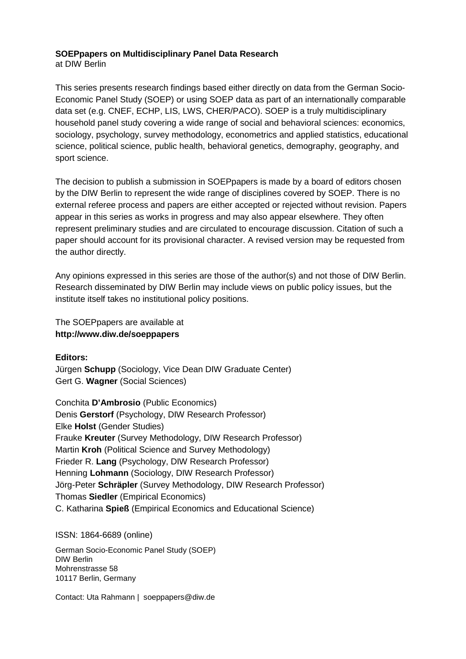#### **SOEPpapers on Multidisciplinary Panel Data Research**  at DIW Berlin

This series presents research findings based either directly on data from the German Socio-Economic Panel Study (SOEP) or using SOEP data as part of an internationally comparable data set (e.g. CNEF, ECHP, LIS, LWS, CHER/PACO). SOEP is a truly multidisciplinary household panel study covering a wide range of social and behavioral sciences: economics, sociology, psychology, survey methodology, econometrics and applied statistics, educational science, political science, public health, behavioral genetics, demography, geography, and sport science.

The decision to publish a submission in SOEPpapers is made by a board of editors chosen by the DIW Berlin to represent the wide range of disciplines covered by SOEP. There is no external referee process and papers are either accepted or rejected without revision. Papers appear in this series as works in progress and may also appear elsewhere. They often represent preliminary studies and are circulated to encourage discussion. Citation of such a paper should account for its provisional character. A revised version may be requested from the author directly.

Any opinions expressed in this series are those of the author(s) and not those of DIW Berlin. Research disseminated by DIW Berlin may include views on public policy issues, but the institute itself takes no institutional policy positions.

The SOEPpapers are available at **http://www.diw.de/soeppapers**

# **Editors:**

Jürgen **Schupp** (Sociology, Vice Dean DIW Graduate Center) Gert G. **Wagner** (Social Sciences)

Conchita **D'Ambrosio** (Public Economics) Denis **Gerstorf** (Psychology, DIW Research Professor) Elke **Holst** (Gender Studies) Frauke **Kreuter** (Survey Methodology, DIW Research Professor) Martin **Kroh** (Political Science and Survey Methodology) Frieder R. **Lang** (Psychology, DIW Research Professor) Henning **Lohmann** (Sociology, DIW Research Professor) Jörg-Peter **Schräpler** (Survey Methodology, DIW Research Professor) Thomas **Siedler** (Empirical Economics) C. Katharina **Spieß** (Empirical Economics and Educational Science)

## ISSN: 1864-6689 (online)

German Socio-Economic Panel Study (SOEP) DIW Berlin Mohrenstrasse 58 10117 Berlin, Germany

Contact: Uta Rahmann | soeppapers@diw.de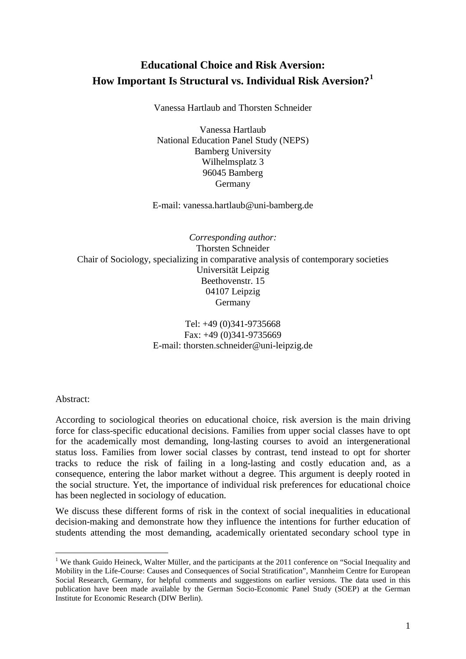# **Educational Choice and Risk Aversion: How Important Is Structural vs. Individual Risk Aversion?[1](#page-2-0)**

Vanessa Hartlaub and Thorsten Schneider

Vanessa Hartlaub National Education Panel Study (NEPS) Bamberg University Wilhelmsplatz 3 96045 Bamberg Germany

E-mail: vanessa.hartlaub@uni-bamberg.de

*Corresponding author:*  Thorsten Schneider Chair of Sociology, specializing in comparative analysis of contemporary societies Universität Leipzig Beethovenstr. 15 04107 Leipzig Germany

> Tel: +49 (0)341-9735668 Fax: +49 (0)341-9735669 E-mail: thorsten.schneider@uni-leipzig.de

Abstract:

-

According to sociological theories on educational choice, risk aversion is the main driving force for class-specific educational decisions. Families from upper social classes have to opt for the academically most demanding, long-lasting courses to avoid an intergenerational status loss. Families from lower social classes by contrast, tend instead to opt for shorter tracks to reduce the risk of failing in a long-lasting and costly education and, as a consequence, entering the labor market without a degree. This argument is deeply rooted in the social structure. Yet, the importance of individual risk preferences for educational choice has been neglected in sociology of education.

We discuss these different forms of risk in the context of social inequalities in educational decision-making and demonstrate how they influence the intentions for further education of students attending the most demanding, academically orientated secondary school type in

<span id="page-2-0"></span><sup>&</sup>lt;sup>1</sup> We thank Guido Heineck, Walter Müller, and the participants at the 2011 conference on "Social Inequality and Mobility in the Life-Course: Causes and Consequences of Social Stratification", Mannheim Centre for European Social Research, Germany, for helpful comments and suggestions on earlier versions. The data used in this publication have been made available by the German Socio-Economic Panel Study (SOEP) at the German Institute for Economic Research (DIW Berlin).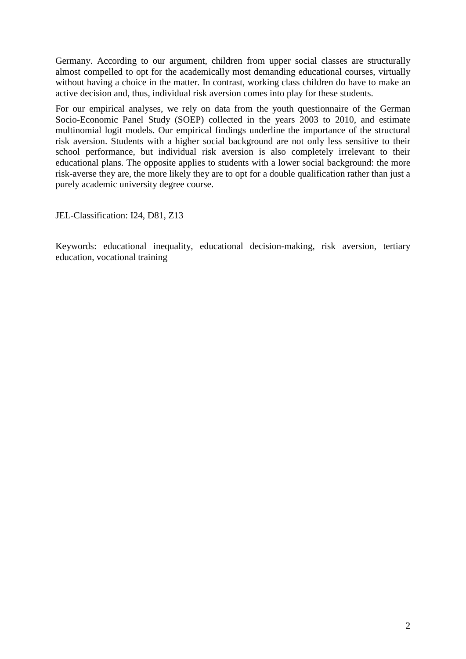Germany. According to our argument, children from upper social classes are structurally almost compelled to opt for the academically most demanding educational courses, virtually without having a choice in the matter. In contrast, working class children do have to make an active decision and, thus, individual risk aversion comes into play for these students.

For our empirical analyses, we rely on data from the youth questionnaire of the German Socio-Economic Panel Study (SOEP) collected in the years 2003 to 2010, and estimate multinomial logit models. Our empirical findings underline the importance of the structural risk aversion. Students with a higher social background are not only less sensitive to their school performance, but individual risk aversion is also completely irrelevant to their educational plans. The opposite applies to students with a lower social background: the more risk-averse they are, the more likely they are to opt for a double qualification rather than just a purely academic university degree course.

JEL-Classification: I24, D81, Z13

Keywords: educational inequality, educational decision-making, risk aversion, tertiary education, vocational training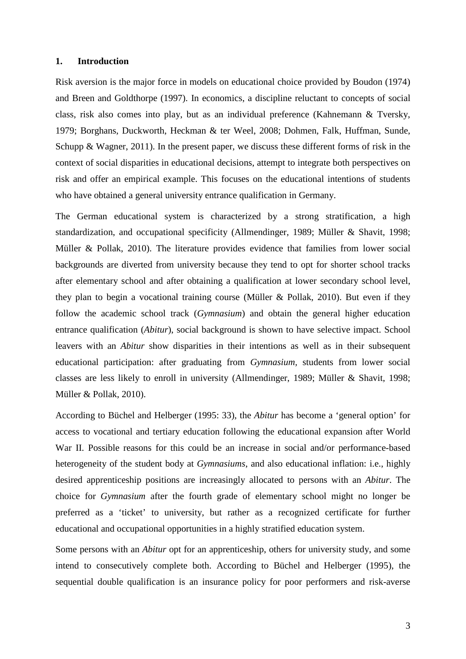## **1. Introduction**

Risk aversion is the major force in models on educational choice provided by Boudon (1974) and Breen and Goldthorpe (1997). In economics, a discipline reluctant to concepts of social class, risk also comes into play, but as an individual preference (Kahnemann & Tversky, 1979; Borghans, Duckworth, Heckman & ter Weel, 2008; Dohmen, Falk, Huffman, Sunde, Schupp & Wagner, 2011). In the present paper, we discuss these different forms of risk in the context of social disparities in educational decisions, attempt to integrate both perspectives on risk and offer an empirical example. This focuses on the educational intentions of students who have obtained a general university entrance qualification in Germany.

The German educational system is characterized by a strong stratification, a high standardization, and occupational specificity (Allmendinger, 1989; Müller & Shavit, 1998; Müller & Pollak, 2010). The literature provides evidence that families from lower social backgrounds are diverted from university because they tend to opt for shorter school tracks after elementary school and after obtaining a qualification at lower secondary school level, they plan to begin a vocational training course (Müller & Pollak, 2010). But even if they follow the academic school track (*Gymnasium*) and obtain the general higher education entrance qualification (*Abitur*), social background is shown to have selective impact. School leavers with an *Abitur* show disparities in their intentions as well as in their subsequent educational participation: after graduating from *Gymnasium,* students from lower social classes are less likely to enroll in university (Allmendinger, 1989; Müller & Shavit, 1998; Müller & Pollak, 2010).

According to Büchel and Helberger (1995: 33), the *Abitur* has become a 'general option' for access to vocational and tertiary education following the educational expansion after World War II. Possible reasons for this could be an increase in social and/or performance-based heterogeneity of the student body at *Gymnasiums*, and also educational inflation: i.e., highly desired apprenticeship positions are increasingly allocated to persons with an *Abitur*. The choice for *Gymnasium* after the fourth grade of elementary school might no longer be preferred as a 'ticket' to university, but rather as a recognized certificate for further educational and occupational opportunities in a highly stratified education system.

Some persons with an *Abitur* opt for an apprenticeship, others for university study, and some intend to consecutively complete both. According to Büchel and Helberger (1995), the sequential double qualification is an insurance policy for poor performers and risk-averse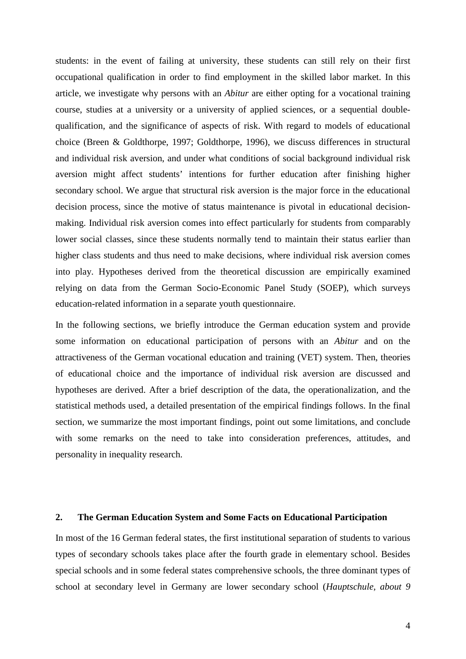students: in the event of failing at university, these students can still rely on their first occupational qualification in order to find employment in the skilled labor market. In this article, we investigate why persons with an *Abitur* are either opting for a vocational training course, studies at a university or a university of applied sciences, or a sequential doublequalification, and the significance of aspects of risk. With regard to models of educational choice (Breen & Goldthorpe, 1997; Goldthorpe, 1996), we discuss differences in structural and individual risk aversion, and under what conditions of social background individual risk aversion might affect students' intentions for further education after finishing higher secondary school. We argue that structural risk aversion is the major force in the educational decision process, since the motive of status maintenance is pivotal in educational decisionmaking. Individual risk aversion comes into effect particularly for students from comparably lower social classes, since these students normally tend to maintain their status earlier than higher class students and thus need to make decisions, where individual risk aversion comes into play. Hypotheses derived from the theoretical discussion are empirically examined relying on data from the German Socio-Economic Panel Study (SOEP), which surveys education-related information in a separate youth questionnaire.

In the following sections, we briefly introduce the German education system and provide some information on educational participation of persons with an *Abitur* and on the attractiveness of the German vocational education and training (VET) system. Then, theories of educational choice and the importance of individual risk aversion are discussed and hypotheses are derived. After a brief description of the data, the operationalization, and the statistical methods used, a detailed presentation of the empirical findings follows. In the final section, we summarize the most important findings, point out some limitations, and conclude with some remarks on the need to take into consideration preferences, attitudes, and personality in inequality research.

#### **2. The German Education System and Some Facts on Educational Participation**

In most of the 16 German federal states, the first institutional separation of students to various types of secondary schools takes place after the fourth grade in elementary school. Besides special schools and in some federal states comprehensive schools, the three dominant types of school at secondary level in Germany are lower secondary school (*Hauptschule, about 9*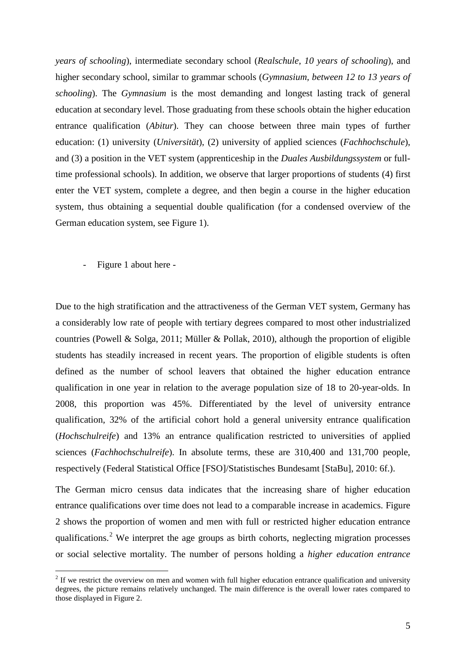*years of schooling*), intermediate secondary school (*Realschule, 10 years of schooling*), and higher secondary school, similar to grammar schools (*Gymnasium, between 12 to 13 years of schooling*). The *Gymnasium* is the most demanding and longest lasting track of general education at secondary level. Those graduating from these schools obtain the higher education entrance qualification (*Abitur*). They can choose between three main types of further education: (1) university (*Universität*), (2) university of applied sciences (*Fachhochschule*), and (3) a position in the VET system (apprenticeship in the *Duales Ausbildungssystem* or fulltime professional schools). In addition, we observe that larger proportions of students (4) first enter the VET system, complete a degree, and then begin a course in the higher education system, thus obtaining a sequential double qualification (for a condensed overview of the German education system, see Figure 1).

- Figure 1 about here -

-

Due to the high stratification and the attractiveness of the German VET system, Germany has a considerably low rate of people with tertiary degrees compared to most other industrialized countries (Powell & Solga, 2011; Müller & Pollak, 2010), although the proportion of eligible students has steadily increased in recent years. The proportion of eligible students is often defined as the number of school leavers that obtained the higher education entrance qualification in one year in relation to the average population size of 18 to 20-year-olds. In 2008, this proportion was 45%. Differentiated by the level of university entrance qualification, 32% of the artificial cohort hold a general university entrance qualification (*Hochschulreife*) and 13% an [entrance](http://www.dict.cc/englisch-deutsch/%5Bentrance%5D.html) [qualification](http://www.dict.cc/englisch-deutsch/%5Bqualification%5D.html) restricted to universities of applied sciences (*Fachhochschulreife*). In absolute terms, these are 310,400 and 131,700 people, respectively (Federal Statistical Office [FSO]/Statistisches Bundesamt [StaBu], 2010: 6f.).

The German micro census data indicates that the increasing share of higher education entrance qualifications over time does not lead to a comparable increase in academics. Figure 2 shows the proportion of women and men with full or restricted higher education entrance qualifications.<sup>[2](#page-6-0)</sup> We interpret the age groups as birth cohorts, neglecting migration processes or social selective mortality. The number of persons holding a *higher education entrance* 

<span id="page-6-0"></span><sup>&</sup>lt;sup>2</sup> If we restrict the overview on men and women with full higher education entrance qualification and university degrees, the picture remains relatively unchanged. The main difference is the overall lower rates compared to those displayed in Figure 2.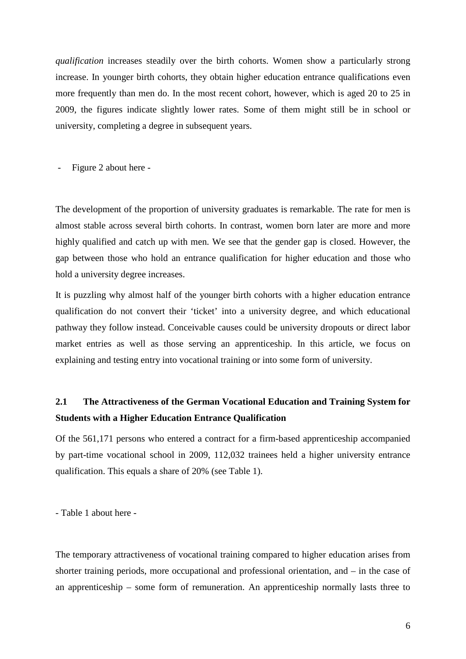*qualification* increases steadily over the birth cohorts. Women show a particularly strong increase. In younger birth cohorts, they obtain higher education entrance qualifications even more frequently than men do. In the most recent cohort, however, which is aged 20 to 25 in 2009, the figures indicate slightly lower rates. Some of them might still be in school or university, completing a degree in subsequent years.

- Figure 2 about here -

The development of the proportion of university graduates is remarkable. The rate for men is almost stable across several birth cohorts. In contrast, women born later are more and more highly qualified and catch up with men. We see that the gender gap is closed. However, the gap between those who hold an entrance qualification for higher education and those who hold a university degree increases.

It is puzzling why almost half of the younger birth cohorts with a higher education entrance qualification do not convert their 'ticket' into a university degree, and which educational pathway they follow instead. Conceivable causes could be university dropouts or direct labor market entries as well as those serving an apprenticeship. In this article, we focus on explaining and testing entry into vocational training or into some form of university.

# **2.1 The Attractiveness of the German Vocational Education and Training System for Students with a Higher Education Entrance Qualification**

Of the 561,171 persons who entered a contract for a firm-based apprenticeship [accompanied](http://dict.leo.org/ende?lp=ende&p=Ci4HO3kMAA&search=accompanied&trestr=0x8080) [by](http://dict.leo.org/ende?lp=ende&p=Ci4HO3kMAA&search=by&trestr=0x8080) part-time vocational school in 2009, 112,032 trainees held a higher [university](http://www.dict.cc/englisch-deutsch/%5Buniversity%5D.html) [entrance](http://www.dict.cc/englisch-deutsch/%5Bentrance%5D.html) [qualification.](http://www.dict.cc/englisch-deutsch/%5Bqualification%5D.html) This equals a share of 20% (see Table 1).

- Table 1 about here -

The temporary attractiveness of vocational training compared to higher education arises from shorter training periods, more occupational and professional orientation, and – in the case of an apprenticeship – some form of remuneration. An apprenticeship normally lasts three to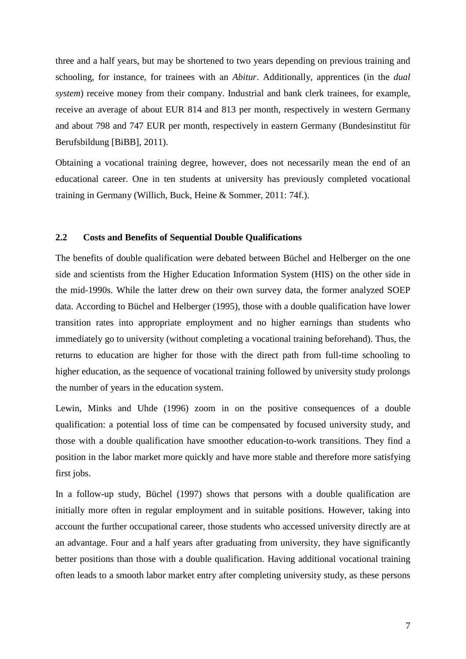three and a half years, but may be shortened to two years depending on previous training and schooling, for instance, for trainees with an *Abitur*. Additionally, apprentices (in the *dual system*) receive money from their company. Industrial and bank clerk trainees, for example, receive an average of about EUR 814 and 813 per month, respectively in western Germany and about 798 and 747 EUR per month, respectively in eastern Germany (Bundesinstitut für Berufsbildung [BiBB], 2011).

Obtaining a vocational training degree, however, does not necessarily mean the end of an educational career. One in ten students at university has previously completed vocational training in Germany (Willich, Buck, Heine & Sommer, 2011: 74f.).

## **2.2 Costs and Benefits of Sequential Double Qualifications**

The benefits of double qualification were debated between Büchel and Helberger on the one side and scientists from the Higher Education Information System (HIS) on the other side in the mid-1990s. While the latter drew on their own survey data, the former analyzed SOEP data. According to Büchel and Helberger (1995), those with a double qualification have lower transition rates into appropriate employment and no higher earnings than students who immediately go to university (without completing a vocational training beforehand). Thus, the returns to education are higher for those with the direct path from full-time schooling to higher education, as the sequence of vocational training followed by university study prolongs the number of years in the education system.

Lewin, Minks and Uhde (1996) zoom in on the positive consequences of a double qualification: a potential loss of time can be compensated by focused university study, and those with a double qualification have smoother education-to-work transitions. They find a position in the labor market more quickly and have more stable and therefore more satisfying first jobs.

In a follow-up study, Büchel (1997) shows that persons with a double qualification are initially more often in regular employment and in suitable positions. However, taking into account the further occupational career, those students who accessed university directly are at an advantage. Four and a half years after graduating from university, they have significantly better positions than those with a double qualification. Having additional vocational training often leads to a smooth labor market entry after completing university study, as these persons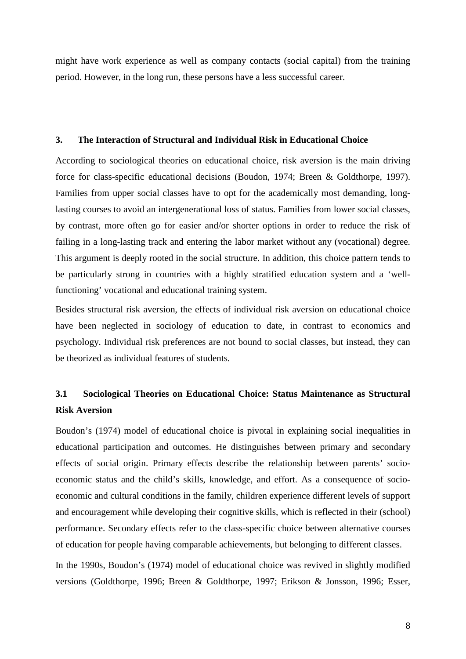might have work experience as well as company contacts (social capital) from the training period. However, in the long run, these persons have a less successful career.

#### **3. The Interaction of Structural and Individual Risk in Educational Choice**

According to sociological theories on educational choice, risk aversion is the main driving force for class-specific educational decisions (Boudon, 1974; Breen & Goldthorpe, 1997). Families from upper social classes have to opt for the academically most demanding, longlasting courses to avoid an intergenerational loss of status. Families from lower social classes, by contrast, more often go for easier and/or shorter options in order to reduce the risk of failing in a long-lasting track and entering the labor market without any (vocational) degree. This argument is deeply rooted in the social structure. In addition, this choice pattern tends to be particularly strong in countries with a highly stratified education system and a 'wellfunctioning' vocational and educational training system.

Besides structural risk aversion, the effects of individual risk aversion on educational choice have been neglected in sociology of education to date, in contrast to economics and psychology. Individual risk preferences are not bound to social classes, but instead, they can be theorized as individual features of students.

# **3.1 Sociological Theories on Educational Choice: Status Maintenance as Structural Risk Aversion**

Boudon's (1974) model of educational choice is pivotal in explaining social inequalities in educational participation and outcomes. He distinguishes between primary and secondary effects of social origin. Primary effects describe the relationship between parents' socioeconomic status and the child's skills, knowledge, and effort. As a consequence of socioeconomic and cultural conditions in the family, children experience different levels of support and encouragement while developing their cognitive skills, which is reflected in their (school) performance. Secondary effects refer to the class-specific choice between alternative courses of education for people having comparable achievements, but belonging to different classes.

In the 1990s, Boudon's (1974) model of educational choice was revived in slightly modified versions (Goldthorpe, 1996; Breen & Goldthorpe, 1997; Erikson & Jonsson, 1996; Esser,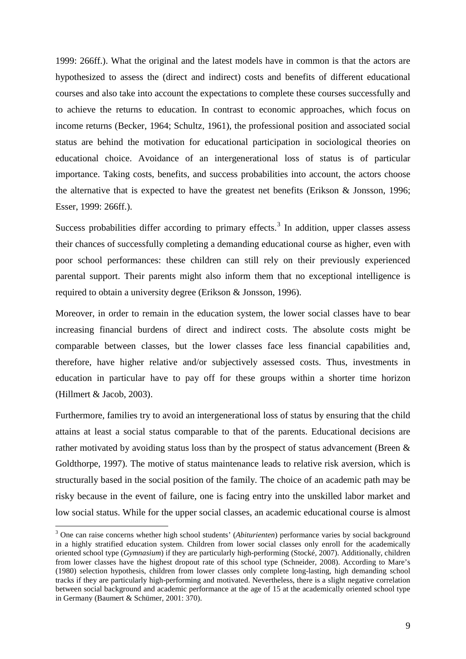1999: 266ff.). What the original and the latest models have in common is that the actors are hypothesized to assess the (direct and indirect) costs and benefits of different educational courses and also take into account the expectations to complete these courses successfully and to achieve the returns to education. In contrast to economic approaches, which focus on income returns (Becker, 1964; Schultz, 1961), the professional position and associated social status are behind the motivation for educational participation in sociological theories on educational choice. Avoidance of an intergenerational loss of status is of particular importance. Taking costs, benefits, and success probabilities into account, the actors choose the alternative that is expected to have the greatest net benefits (Erikson & Jonsson, 1996; Esser, 1999: 266ff.).

Success probabilities differ according to primary effects.<sup>[3](#page-10-0)</sup> In addition, upper classes assess their chances of successfully completing a demanding educational course as higher, even with poor school performances: these children can still rely on their previously experienced parental support. Their parents might also inform them that no exceptional intelligence is required to obtain a university degree (Erikson & Jonsson, 1996).

Moreover, in order to remain in the education system, the lower social classes have to bear increasing financial burdens of direct and indirect costs. The absolute costs might be comparable between classes, but the lower classes face less financial capabilities and, therefore, have higher relative and/or subjectively assessed costs. Thus, investments in education in particular have to pay off for these groups within a shorter time horizon (Hillmert & Jacob, 2003).

Furthermore, families try to avoid an intergenerational loss of status by ensuring that the child attains at least a social status comparable to that of the parents. Educational decisions are rather motivated by avoiding status loss than by the prospect of status advancement (Breen & Goldthorpe, 1997). The motive of status maintenance leads to relative risk aversion, which is structurally based in the social position of the family. The choice of an academic path may be risky because in the event of failure, one is facing entry into the unskilled labor market and low social status. While for the upper social classes, an academic educational course is almost

<u>.</u>

<span id="page-10-0"></span><sup>3</sup> One can raise concerns whether high school students' (*Abiturienten*) performance varies by social background in a highly stratified education system. Children from lower social classes only enroll for the academically oriented school type (*Gymnasium*) if they are particularly high-performing (Stocké, 2007). Additionally, children from lower classes have the highest dropout rate of this school type (Schneider, 2008). According to Mare's (1980) selection hypothesis, children from lower classes only complete long-lasting, high demanding school tracks if they are particularly high-performing and motivated. Nevertheless, there is a slight negative correlation between social background and academic performance at the age of 15 at the academically oriented school type in Germany (Baumert & Schümer, 2001: 370).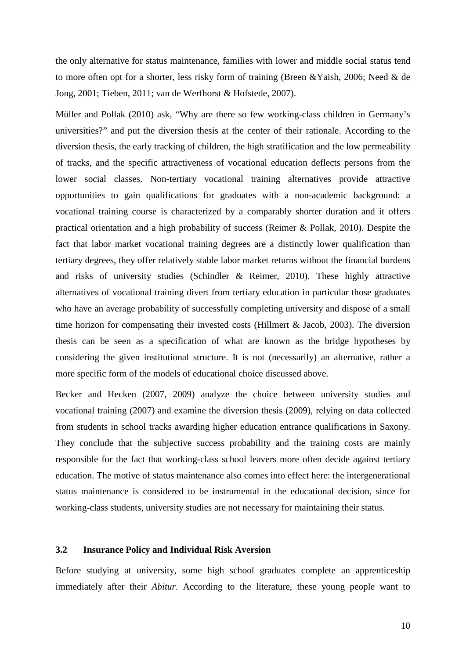the only alternative for status maintenance, families with lower and middle social status tend to more often opt for a shorter, less risky form of training (Breen &Yaish, 2006; Need & de Jong, 2001; Tieben, 2011; van de Werfhorst & Hofstede, 2007).

Müller and Pollak (2010) ask, "Why are there so few working-class children in Germany's universities?" and put the diversion thesis at the center of their rationale. According to the diversion thesis, the early tracking of children, the high stratification and the low permeability of tracks, and the specific attractiveness of vocational education deflects persons from the lower social classes. Non-tertiary vocational training alternatives provide attractive opportunities to gain qualifications for graduates with a non-academic background: a vocational training course is characterized by a comparably shorter duration and it offers practical orientation and a high probability of success (Reimer & Pollak, 2010). Despite the fact that labor market vocational training degrees are a distinctly lower qualification than tertiary degrees, they offer relatively stable labor market returns without the financial burdens and risks of university studies (Schindler & Reimer, 2010). These highly attractive alternatives of vocational training divert from tertiary education in particular those graduates who have an average probability of successfully completing university and dispose of a small time horizon for compensating their invested costs (Hillmert  $\&$  Jacob, 2003). The diversion thesis can be seen as a specification of what are known as the bridge hypotheses by considering the given institutional structure. It is not (necessarily) an alternative, rather a more specific form of the models of educational choice discussed above.

Becker and Hecken (2007, 2009) analyze the choice between university studies and vocational training (2007) and examine the diversion thesis (2009), relying on data collected from students in school tracks awarding higher education entrance qualifications in Saxony. They conclude that the subjective success probability and the training costs are mainly responsible for the fact that working-class school leavers more often decide against tertiary education. The motive of status maintenance also comes into effect here: the intergenerational status maintenance is considered to be instrumental in the educational decision, since for working-class students, university studies are not necessary for maintaining their status.

#### **3.2 Insurance Policy and Individual Risk Aversion**

Before studying at university, some high school graduates complete an apprenticeship immediately after their *Abitur*. According to the literature, these young people want to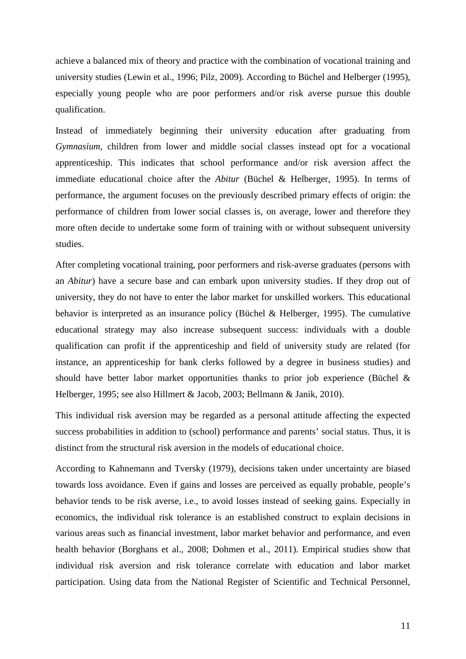achieve a balanced mix of theory and practice with the combination of vocational training and university studies (Lewin et al., 1996; Pilz, 2009). According to Büchel and Helberger (1995), especially young people who are poor performers and/or risk averse pursue this double qualification.

Instead of immediately beginning their university education after graduating from *Gymnasium*, children from lower and middle social classes instead opt for a vocational apprenticeship. This indicates that school performance and/or risk aversion affect the immediate educational choice after the *Abitur* (Büchel & Helberger, 1995). In terms of performance, the argument focuses on the previously described primary effects of origin: the performance of children from lower social classes is, on average, lower and therefore they more often decide to undertake some form of training with or without subsequent university studies.

After completing vocational training, poor performers and risk-averse graduates (persons with an *Abitur*) have a secure base and can embark upon university studies. If they drop out of university, they do not have to enter the labor market for unskilled workers. This educational behavior is interpreted as an insurance policy (Büchel & Helberger, 1995). The cumulative educational strategy may also increase subsequent success: individuals with a double qualification can profit if the apprenticeship and field of university study are related (for instance, an apprenticeship for bank clerks followed by a degree in business studies) and should have better labor market opportunities thanks to prior job experience (Büchel & Helberger, 1995; see also Hillmert & Jacob, 2003; Bellmann & Janik, 2010).

This individual risk aversion may be regarded as a personal attitude affecting the expected success probabilities in addition to (school) performance and parents' social status. Thus, it is distinct from the structural risk aversion in the models of educational choice.

According to Kahnemann and Tversky (1979), decisions taken under uncertainty are biased towards loss avoidance. Even if gains and losses are perceived as equally probable, people's behavior tends to be risk averse, i.e., to avoid losses instead of seeking gains. Especially in economics, the individual risk tolerance is an established construct to explain decisions in various areas such as financial investment, labor market behavior and performance, and even health behavior (Borghans et al., 2008; Dohmen et al., 2011). Empirical studies show that individual risk aversion and risk tolerance correlate with education and labor market participation. Using data from the National Register of Scientific and Technical Personnel,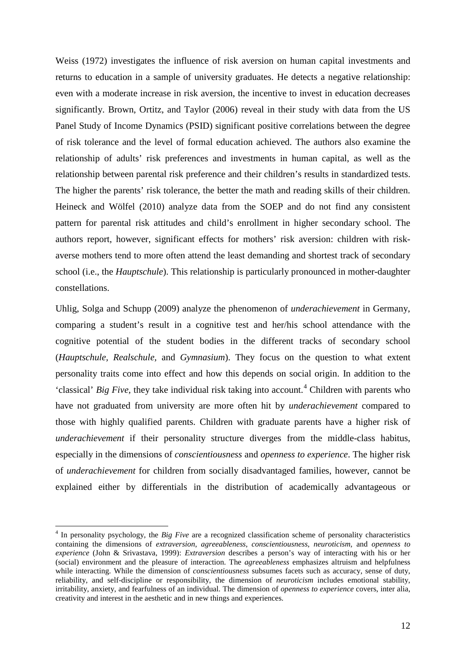Weiss (1972) investigates the influence of risk aversion on human capital investments and returns to education in a sample of university graduates. He detects a negative relationship: even with a moderate increase in risk aversion, the incentive to invest in education decreases significantly. Brown, Ortitz, and Taylor (2006) reveal in their study with data from the US Panel Study of Income Dynamics (PSID) significant positive correlations between the degree of risk tolerance and the level of formal education achieved. The authors also examine the relationship of adults' risk preferences and investments in human capital, as well as the relationship between parental risk preference and their children's results in standardized tests. The higher the parents' risk tolerance, the better the math and reading skills of their children. Heineck and Wölfel (2010) analyze data from the SOEP and do not find any consistent pattern for parental risk attitudes and child's enrollment in higher secondary school. The authors report, however, significant effects for mothers' risk aversion: children with riskaverse mothers tend to more often attend the least demanding and shortest track of secondary school (i.e., the *Hauptschule*). This relationship is particularly pronounced in mother-daughter constellations.

Uhlig, Solga and Schupp (2009) analyze the phenomenon of *underachievement* in Germany, comparing a student's result in a cognitive test and her/his school attendance with the cognitive potential of the student bodies in the different tracks of secondary school (*Hauptschule, Realschule,* and *Gymnasium*). They focus on the question to what extent personality traits come into effect and how this depends on social origin. In addition to the <sup>t</sup>classical' *Big Five*, they take individual risk taking into account.<sup>[4](#page-13-0)</sup> Children with parents who have not graduated from university are more often hit by *underachievement* compared to those with highly qualified parents. Children with graduate parents have a higher risk of *underachievement* if their personality structure diverges from the middle-class habitus, especially in the dimensions of *conscientiousness* and *openness to experience*. The higher risk of *underachievement* for children from socially disadvantaged families, however, cannot be explained either by differentials in the distribution of academically advantageous or

<u>.</u>

<span id="page-13-0"></span><sup>&</sup>lt;sup>4</sup> In personality psychology, the *Big Five* are a recognized classification scheme of personality characteristics containing the dimensions of *extraversion*, *agreeableness*, *conscientiousness*, *neuroticism,* and *openness to experience* (John & Srivastava, 1999): *Extraversion* describes a person's way of interacting with his or her (social) environment and the pleasure of interaction. The *agreeableness* emphasizes altruism and helpfulness while interacting. While the dimension of *conscientiousness* subsumes facets such as accuracy, sense of duty, reliability, and self-discipline or responsibility, the dimension of *neuroticism* includes emotional stability, irritability, anxiety, and fearfulness of an individual. The dimension of *openness to experience* covers, inter alia, creativity and interest in the aesthetic and in new things and experiences.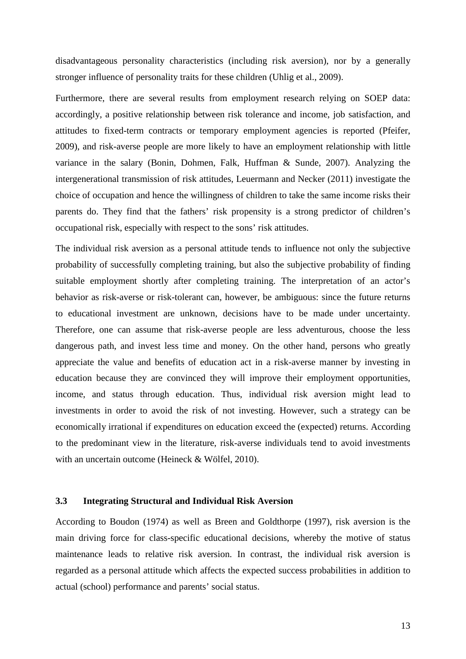disadvantageous personality characteristics (including risk aversion), nor by a generally stronger influence of personality traits for these children (Uhlig et al., 2009).

Furthermore, there are several results from employment research relying on SOEP data: accordingly, a positive relationship between risk tolerance and income, job satisfaction, and attitudes to fixed-term contracts or temporary employment agencies is reported (Pfeifer, 2009), and risk-averse people are more likely to have an employment relationship with little variance in the salary (Bonin, Dohmen, Falk, Huffman & Sunde, 2007). Analyzing the intergenerational transmission of risk attitudes, Leuermann and Necker (2011) investigate the choice of occupation and hence the willingness of children to take the same income risks their parents do. They find that the fathers' risk propensity is a strong predictor of children's occupational risk, especially with respect to the sons' risk attitudes.

The individual risk aversion as a personal attitude tends to influence not only the subjective probability of successfully completing training, but also the subjective probability of finding suitable employment shortly after completing training. The interpretation of an actor's behavior as risk-averse or risk-tolerant can, however, be ambiguous: since the future returns to educational investment are unknown, decisions have to be made under uncertainty. Therefore, one can assume that risk-averse people are less adventurous, choose the less dangerous path, and invest less time and money. On the other hand, persons who greatly appreciate the value and benefits of education act in a risk-averse manner by investing in education because they are convinced they will improve their employment opportunities, income, and status through education. Thus, individual risk aversion might lead to investments in order to avoid the risk of not investing. However, such a strategy can be economically irrational if expenditures on education exceed the (expected) returns. According to the predominant view in the literature, risk-averse individuals tend to avoid investments with an uncertain outcome (Heineck & Wölfel, 2010).

## **3.3 Integrating Structural and Individual Risk Aversion**

According to Boudon (1974) as well as Breen and Goldthorpe (1997), risk aversion is the main driving force for class-specific educational decisions, whereby the motive of status maintenance leads to relative risk aversion. In contrast, the individual risk aversion is regarded as a personal attitude which affects the expected success probabilities in addition to actual (school) performance and parents' social status.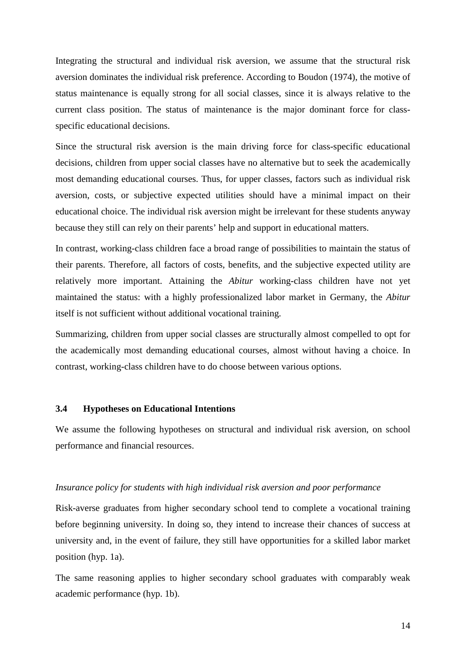Integrating the structural and individual risk aversion, we assume that the structural risk aversion dominates the individual risk preference. According to Boudon (1974), the motive of status maintenance is equally strong for all social classes, since it is always relative to the current class position. The status of maintenance is the major dominant force for classspecific educational decisions.

Since the structural risk aversion is the main driving force for class-specific educational decisions, children from upper social classes have no alternative but to seek the academically most demanding educational courses. Thus, for upper classes, factors such as individual risk aversion, costs, or subjective expected utilities should have a minimal impact on their educational choice. The individual risk aversion might be irrelevant for these students anyway because they still can rely on their parents' help and support in educational matters.

In contrast, working-class children face a broad range of possibilities to maintain the status of their parents. Therefore, all factors of costs, benefits, and the subjective expected utility are relatively more important. Attaining the *Abitur* working-class children have not yet maintained the status: with a highly professionalized labor market in Germany, the *Abitur* itself is not sufficient without additional vocational training.

Summarizing, children from upper social classes are structurally almost compelled to opt for the academically most demanding educational courses, almost without having a choice. In contrast, working-class children have to do choose between various options.

#### **3.4 Hypotheses on Educational Intentions**

We assume the following hypotheses on structural and individual risk aversion, on school performance and financial resources.

#### *Insurance policy for students with high individual risk aversion and poor performance*

Risk-averse graduates from higher secondary school tend to complete a vocational training before beginning university. In doing so, they intend to increase their chances of success at university and, in the event of failure, they still have opportunities for a skilled labor market position (hyp. 1a).

The same reasoning applies to higher secondary school graduates with comparably weak academic performance (hyp. 1b).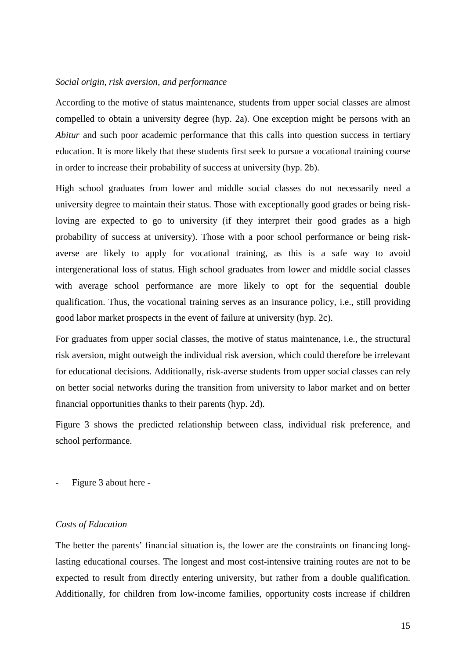#### *Social origin, risk aversion, and performance*

According to the motive of status maintenance, students from upper social classes are almost compelled to obtain a university degree (hyp. 2a). One exception might be persons with an *Abitur* and such poor academic performance that this calls into question success in tertiary education. It is more likely that these students first seek to pursue a vocational training course in order to increase their probability of success at university (hyp. 2b).

High school graduates from lower and middle social classes do not necessarily need a university degree to maintain their status. Those with exceptionally good grades or being riskloving are expected to go to university (if they interpret their good grades as a high probability of success at university). Those with a poor school performance or being riskaverse are likely to apply for vocational training, as this is a safe way to avoid intergenerational loss of status. High school graduates from lower and middle social classes with average school performance are more likely to opt for the sequential double qualification. Thus, the vocational training serves as an insurance policy, i.e., still providing good labor market prospects in the event of failure at university (hyp. 2c).

For graduates from upper social classes, the motive of status maintenance, i.e., the structural risk aversion, might outweigh the individual risk aversion, which could therefore be irrelevant for educational decisions. Additionally, risk-averse students from upper social classes can rely on better social networks during the transition from university to labor market and on better financial opportunities thanks to their parents (hyp. 2d).

Figure 3 shows the predicted relationship between class, individual risk preference, and school performance.

- Figure 3 about here -

#### *Costs of Education*

The better the parents' financial situation is, the lower are the constraints on financing longlasting educational courses. The longest and most cost-intensive training routes are not to be expected to result from directly entering university, but rather from a double qualification. Additionally, for children from low-income families, opportunity costs increase if children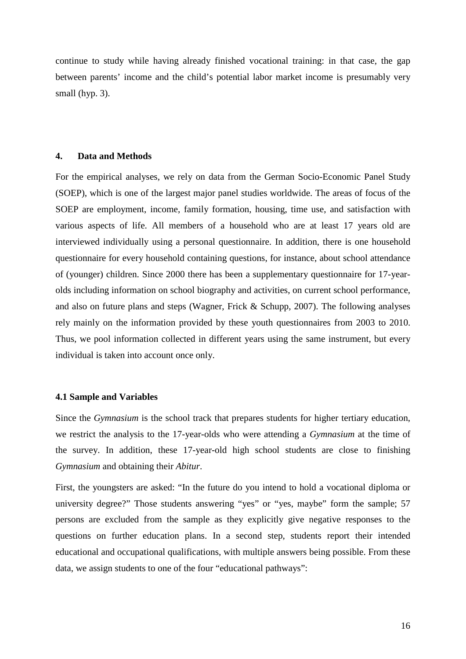continue to study while having already finished vocational training: in that case, the gap between parents' income and the child's potential labor market income is presumably very small (hyp. 3).

#### **4. Data and Methods**

For the empirical analyses, we rely on data from the German Socio-Economic Panel Study (SOEP), which is one of the largest major panel studies worldwide. The areas of focus of the SOEP are employment, income, family formation, housing, time use, and satisfaction with various aspects of life. All members of a household who are at least 17 years old are interviewed individually using a personal questionnaire. In addition, there is one household questionnaire for every household containing questions, for instance, about school attendance of (younger) children. Since 2000 there has been a supplementary questionnaire for 17-yearolds including information on school biography and activities, on current school performance, and also on future plans and steps (Wagner, Frick & Schupp, 2007). The following analyses rely mainly on the information provided by these youth questionnaires from 2003 to 2010. Thus, we pool information collected in different years using the same instrument, but every individual is taken into account once only.

#### **4.1 Sample and Variables**

Since the *Gymnasium* is the school track that prepares students for higher tertiary education, we restrict the analysis to the 17-year-olds who were attending a *Gymnasium* at the time of the survey. In addition, these 17-year-old high school students are close to finishing *Gymnasium* and obtaining their *Abitur*.

First, the youngsters are asked: "In the future do you intend to hold a vocational diploma or university degree?" Those students answering "yes" or "yes, maybe" form the sample; 57 persons are excluded from the sample as they explicitly give negative responses to the questions on further education plans. In a second step, students report their intended educational and occupational qualifications, with multiple answers being possible. From these data, we assign students to one of the four "educational pathways":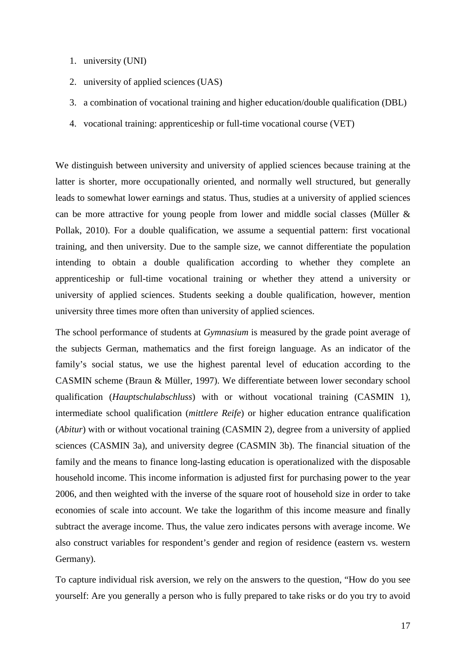- 1. university (UNI)
- 2. university of applied sciences (UAS)
- 3. a combination of vocational training and higher education/double qualification (DBL)
- 4. vocational training: apprenticeship or full-time vocational course (VET)

We distinguish between university and university of applied sciences because training at the latter is shorter, more occupationally oriented, and normally well structured, but generally leads to somewhat lower earnings and status. Thus, studies at a university of applied sciences can be more attractive for young people from lower and middle social classes (Müller & Pollak, 2010). For a double qualification, we assume a sequential pattern: first vocational training, and then university. Due to the sample size, we cannot differentiate the population intending to obtain a double qualification according to whether they complete an apprenticeship or full-time vocational training or whether they attend a university or university of applied sciences. Students seeking a double qualification, however, mention university three times more often than university of applied sciences.

The school performance of students at *Gymnasium* is measured by the grade point average of the subjects German, mathematics and the first foreign language. As an indicator of the family's social status, we use the highest parental level of education according to the CASMIN scheme (Braun & Müller, 1997). We differentiate between lower secondary school qualification (*Hauptschulabschluss*) with or without vocational training (CASMIN 1), intermediate school qualification (*mittlere Reife*) or higher education entrance qualification (*Abitur*) with or without vocational training (CASMIN 2), degree from a university of applied sciences (CASMIN 3a), and university degree (CASMIN 3b). The financial situation of the family and the means to finance long-lasting education is operationalized with the disposable household income. This income information is adjusted first for purchasing power to the year 2006, and then weighted with the inverse of the square root of household size in order to take economies of scale into account. We take the logarithm of this income measure and finally subtract the average income. Thus, the value zero indicates persons with average income. We also construct variables for respondent's gender and region of residence (eastern vs. western Germany).

To capture individual risk aversion, we rely on the answers to the question, "How do you see yourself: Are you generally a person who is fully prepared to take risks or do you try to avoid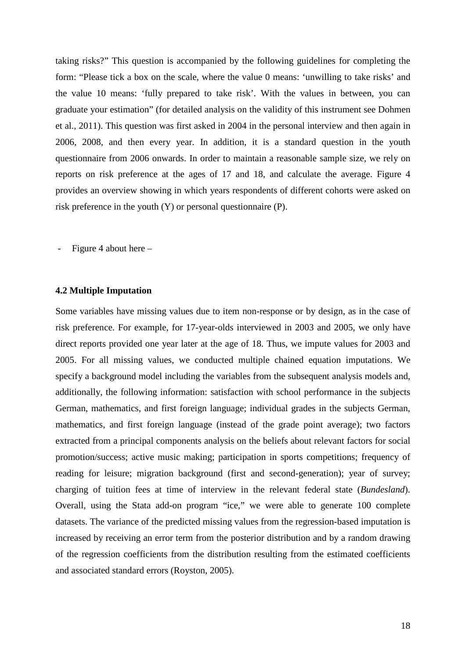taking risks?" This question is accompanied by the following guidelines for completing the form: "Please tick a box on the scale, where the value 0 means: 'unwilling to take risks' and the value 10 means: 'fully prepared to take risk'. With the values in between, you can graduate your estimation" (for detailed analysis on the validity of this instrument see Dohmen et al., 2011). This question was first asked in 2004 in the personal interview and then again in 2006, 2008, and then every year. In addition, it is a standard question in the youth questionnaire from 2006 onwards. In order to maintain a reasonable sample size, we rely on reports on risk preference at the ages of 17 and 18, and calculate the average. Figure 4 provides an overview showing in which years respondents of different cohorts were asked on risk preference in the youth (Y) or personal questionnaire (P).

Figure 4 about here  $-$ 

#### **4.2 Multiple Imputation**

Some variables have missing values due to item non-response or by design, as in the case of risk preference. For example, for 17-year-olds interviewed in 2003 and 2005, we only have direct reports provided one year later at the age of 18. Thus, we impute values for 2003 and 2005. For all missing values, we conducted multiple chained equation imputations. We specify a background model including the variables from the subsequent analysis models and, additionally, the following information: satisfaction with school performance in the subjects German, mathematics, and first foreign language; individual grades in the subjects German, mathematics, and first foreign language (instead of the grade point average); two factors extracted from a principal components analysis on the beliefs about relevant factors for social promotion/success; active music making; participation in sports competitions; frequency of reading for leisure; migration background (first and second-generation); year of survey; charging of tuition fees at time of interview in the relevant federal state (*Bundesland*). Overall, using the Stata add-on program "ice," we were able to generate 100 complete datasets. The variance of the predicted missing values from the regression-based imputation is increased by receiving an error term from the posterior distribution and by a random drawing of the regression coefficients from the distribution resulting from the estimated coefficients and associated standard errors (Royston, 2005).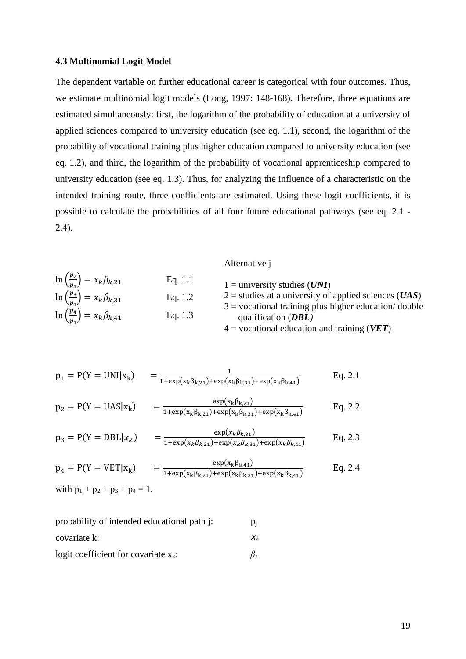#### **4.3 Multinomial Logit Model**

The dependent variable on further educational career is categorical with four outcomes. Thus, we estimate multinomial logit models (Long, 1997: 148-168). Therefore, three equations are estimated simultaneously: first, the logarithm of the probability of education at a university of applied sciences compared to university education (see eq. 1.1), second, the logarithm of the probability of vocational training plus higher education compared to university education (see eq. 1.2), and third, the logarithm of the probability of vocational apprenticeship compared to university education (see eq. 1.3). Thus, for analyzing the influence of a characteristic on the intended training route, three coefficients are estimated. Using these logit coefficients, it is possible to calculate the probabilities of all four future educational pathways (see eq. 2.1 - 2.4).

|                                                      |           | $\overline{1}$ security $\overline{1}$                                          |
|------------------------------------------------------|-----------|---------------------------------------------------------------------------------|
| $\ln\left(\frac{p_2}{p_1}\right) = x_k \beta_{k,21}$ | Eq. $1.1$ | $1 =$ university studies ( <i>UNI</i> )                                         |
| $\ln\left(\frac{p_3}{p_1}\right) = x_k \beta_{k,31}$ | Eq. $1.2$ | $2$ = studies at a university of applied sciences ( <i>UAS</i> )                |
| $\ln\left(\frac{p_4}{p_1}\right) = x_k \beta_{k,41}$ | Eq. $1.3$ | $3 =$ vocational training plus higher education/double<br>qualification $(DBL)$ |
|                                                      |           | $4$ = vocational education and training (VET)                                   |

Alternative j

$$
p_1 = P(Y = UNI|x_k) = \frac{1}{1 + \exp(x_k \beta_{k,21}) + \exp(x_k \beta_{k,31}) + \exp(x_k \beta_{k,41})}
$$
 Eq. 2.1

$$
p_2 = P(Y = UAS|x_k) = \frac{\exp(x_k \beta_{k,21})}{1 + \exp(x_k \beta_{k,21}) + \exp(x_k \beta_{k,31}) + \exp(x_k \beta_{k,41})}
$$
 Eq. 2.2

$$
p_3 = P(Y = DBL|x_k) = \frac{\exp(x_k \beta_{k,31})}{1 + \exp(x_k \beta_{k,21}) + \exp(x_k \beta_{k,31}) + \exp(x_k \beta_{k,41})} \qquad \text{Eq. 2.3}
$$

$$
p_4 = P(Y = VET | x_k) = \frac{\exp(x_k \beta_{k,41})}{1 + \exp(x_k \beta_{k,21}) + \exp(x_k \beta_{k,31}) + \exp(x_k \beta_{k,41})}
$$
 Eq. 2.4

with  $p_1 + p_2 + p_3 + p_4 = 1$ .

| probability of intended educational path j: | $p_i$                          |
|---------------------------------------------|--------------------------------|
| covariate k:                                | $\chi_{\scriptscriptstyle{k}}$ |
| logit coefficient for covariate $x_k$ :     | $B_k$                          |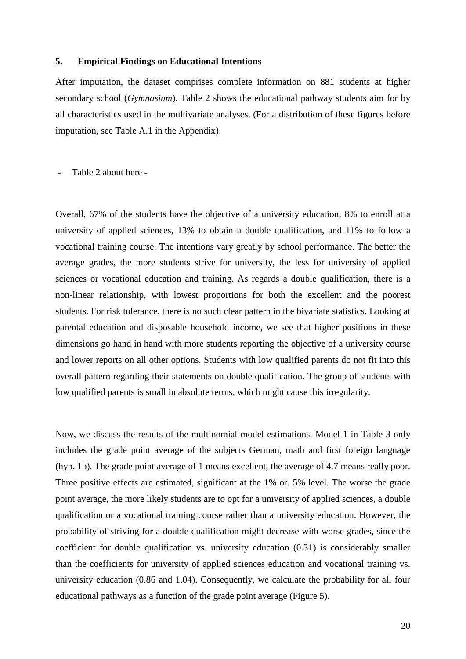## **5. Empirical Findings on Educational Intentions**

After imputation, the dataset comprises complete information on 881 students at higher secondary school (*Gymnasium*). Table 2 shows the educational pathway students aim for by all characteristics used in the multivariate analyses. (For a distribution of these figures before imputation, see Table A.1 in the Appendix).

- Table 2 about here -

Overall, 67% of the students have the objective of a university education, 8% to enroll at a university of applied sciences, 13% to obtain a double qualification, and 11% to follow a vocational training course. The intentions vary greatly by school performance. The better the average grades, the more students strive for university, the less for university of applied sciences or vocational education and training. As regards a double qualification, there is a non-linear relationship, with lowest proportions for both the excellent and the poorest students. For risk tolerance, there is no such clear pattern in the bivariate statistics. Looking at parental education and disposable household income, we see that higher positions in these dimensions go hand in hand with more students reporting the objective of a university course and lower reports on all other options. Students with low qualified parents do not fit into this overall pattern regarding their statements on double qualification. The group of students with low qualified parents is small in absolute terms, which might cause this irregularity.

Now, we discuss the results of the multinomial model estimations. Model 1 in Table 3 only includes the grade point average of the subjects German, math and first foreign language (hyp. 1b). The grade point average of 1 means excellent, the average of 4.7 means really poor. Three positive effects are estimated, significant at the 1% or. 5% level. The worse the grade point average, the more likely students are to opt for a university of applied sciences, a double qualification or a vocational training course rather than a university education. However, the probability of striving for a double qualification might decrease with worse grades, since the coefficient for double qualification vs. university education (0.31) is considerably smaller than the coefficients for university of applied sciences education and vocational training vs. university education (0.86 and 1.04). Consequently, we calculate the probability for all four educational pathways as a function of the grade point average (Figure 5).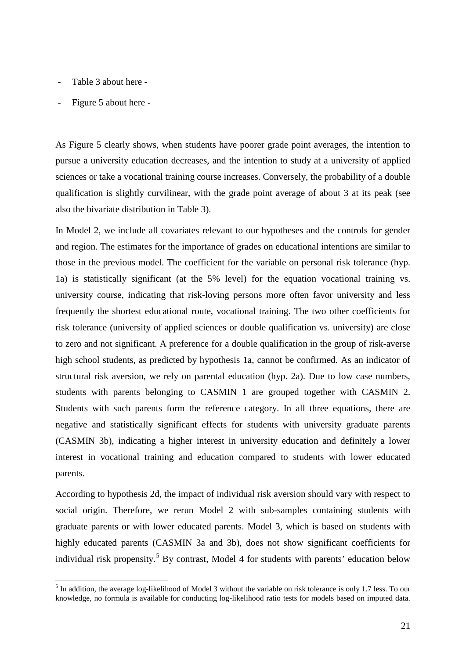- Table 3 about here -
- Figure 5 about here -

<u>.</u>

As Figure 5 clearly shows, when students have poorer grade point averages, the intention to pursue a university education decreases, and the intention to study at a university of applied sciences or take a vocational training course increases. Conversely, the probability of a double qualification is slightly curvilinear, with the grade point average of about 3 at its peak (see also the bivariate distribution in Table 3).

In Model 2, we include all covariates relevant to our hypotheses and the controls for gender and region. The estimates for the importance of grades on educational intentions are similar to those in the previous model. The coefficient for the variable on personal risk tolerance (hyp. 1a) is statistically significant (at the 5% level) for the equation vocational training vs. university course, indicating that risk-loving persons more often favor university and less frequently the shortest educational route, vocational training. The two other coefficients for risk tolerance (university of applied sciences or double qualification vs. university) are close to zero and not significant. A preference for a double qualification in the group of risk-averse high school students, as predicted by hypothesis 1a, cannot be confirmed. As an indicator of structural risk aversion, we rely on parental education (hyp. 2a). Due to low case numbers, students with parents belonging to CASMIN 1 are grouped together with CASMIN 2. Students with such parents form the reference category. In all three equations, there are negative and statistically significant effects for students with university graduate parents (CASMIN 3b), indicating a higher interest in university education and definitely a lower interest in vocational training and education compared to students with lower educated parents.

According to hypothesis 2d, the impact of individual risk aversion should vary with respect to social origin. Therefore, we rerun Model 2 with sub-samples containing students with graduate parents or with lower educated parents. Model 3, which is based on students with highly educated parents (CASMIN 3a and 3b), does not show significant coefficients for individual risk propensity.<sup>[5](#page-22-0)</sup> By contrast, Model 4 for students with parents' education below

<span id="page-22-0"></span> $<sup>5</sup>$  In addition, the average log-likelihood of Model 3 without the variable on risk tolerance is only 1.7 less. To our</sup> knowledge, no formula is available for conducting log-likelihood ratio tests for models based on imputed data.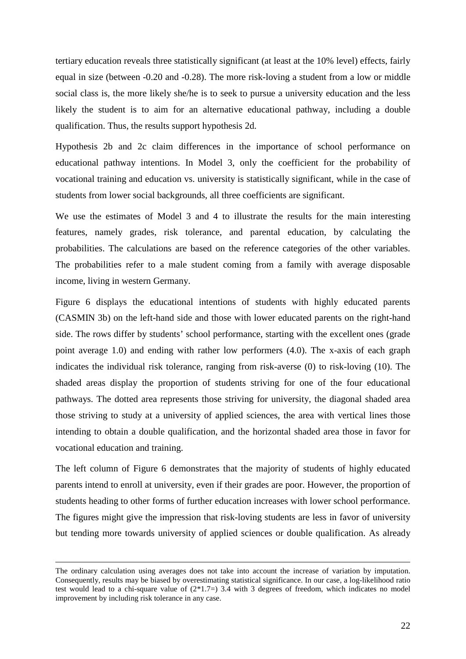tertiary education reveals three statistically significant (at least at the 10% level) effects, fairly equal in size (between -0.20 and -0.28). The more risk-loving a student from a low or middle social class is, the more likely she/he is to seek to pursue a university education and the less likely the student is to aim for an alternative educational pathway, including a double qualification. Thus, the results support hypothesis 2d.

Hypothesis 2b and 2c claim differences in the importance of school performance on educational pathway intentions. In Model 3, only the coefficient for the probability of vocational training and education vs. university is statistically significant, while in the case of students from lower social backgrounds, all three coefficients are significant.

We use the estimates of Model 3 and 4 to illustrate the results for the main interesting features, namely grades, risk tolerance, and parental education, by calculating the probabilities. The calculations are based on the reference categories of the other variables. The probabilities refer to a male student coming from a family with average disposable income, living in western Germany.

Figure 6 displays the educational intentions of students with highly educated parents (CASMIN 3b) on the left-hand side and those with lower educated parents on the right-hand side. The rows differ by students' school performance, starting with the excellent ones (grade point average 1.0) and ending with rather low performers (4.0). The x-axis of each graph indicates the individual risk tolerance, ranging from risk-averse (0) to risk-loving (10). The shaded areas display the proportion of students striving for one of the four educational pathways. The dotted area represents those striving for university, the diagonal shaded area those striving to study at a university of applied sciences, the area with vertical lines those intending to obtain a double qualification, and the horizontal shaded area those in favor for vocational education and training.

The left column of Figure 6 demonstrates that the majority of students of highly educated parents intend to enroll at university, even if their grades are poor. However, the proportion of students heading to other forms of further education increases with lower school performance. The figures might give the impression that risk-loving students are less in favor of university but tending more towards university of applied sciences or double qualification. As already

<u>.</u>

The ordinary calculation using averages does not take into account the increase of variation by imputation. Consequently, results may be biased by overestimating statistical significance. In our case, a log-likelihood ratio test would lead to a chi-square value of  $(2*1.7=)$  3.4 with 3 degrees of freedom, which indicates no model improvement by including risk tolerance in any case.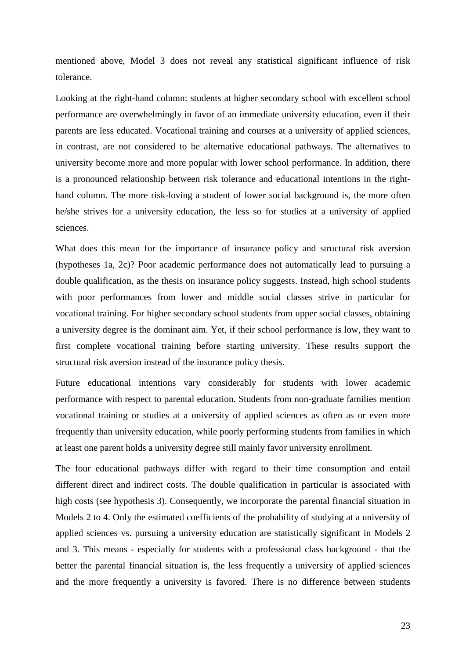mentioned above, Model 3 does not reveal any statistical significant influence of risk tolerance.

Looking at the right-hand column: students at higher secondary school with excellent school performance are overwhelmingly in favor of an immediate university education, even if their parents are less educated. Vocational training and courses at a university of applied sciences, in contrast, are not considered to be alternative educational pathways. The alternatives to university become more and more popular with lower school performance. In addition, there is a pronounced relationship between risk tolerance and educational intentions in the righthand column. The more risk-loving a student of lower social background is, the more often he/she strives for a university education, the less so for studies at a university of applied sciences.

What does this mean for the importance of insurance policy and structural risk aversion (hypotheses 1a, 2c)? Poor academic performance does not automatically lead to pursuing a double qualification, as the thesis on insurance policy suggests. Instead, high school students with poor performances from lower and middle social classes strive in particular for vocational training. For higher secondary school students from upper social classes, obtaining a university degree is the dominant aim. Yet, if their school performance is low, they want to first complete vocational training before starting university. These results support the structural risk aversion instead of the insurance policy thesis.

Future educational intentions vary considerably for students with lower academic performance with respect to parental education. Students from non-graduate families mention vocational training or studies at a university of applied sciences as often as or even more frequently than university education, while poorly performing students from families in which at least one parent holds a university degree still mainly favor university enrollment.

The four educational pathways differ with regard to their time consumption and entail different direct and indirect costs. The double qualification in particular is associated with high costs (see hypothesis 3). Consequently, we incorporate the parental financial situation in Models 2 to 4. Only the estimated coefficients of the probability of studying at a university of applied sciences vs. pursuing a university education are statistically significant in Models 2 and 3. This means - especially for students with a professional class background - that the better the parental financial situation is, the less frequently a university of applied sciences and the more frequently a university is favored. There is no difference between students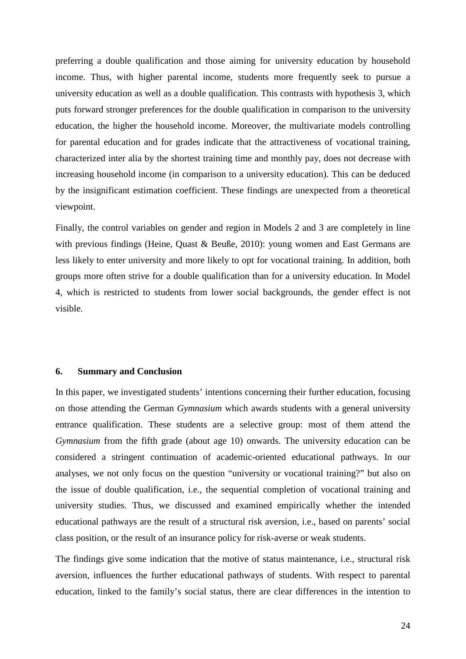preferring a double qualification and those aiming for university education by household income. Thus, with higher parental income, students more frequently seek to pursue a university education as well as a double qualification. This contrasts with hypothesis 3, which puts forward stronger preferences for the double qualification in comparison to the university education, the higher the household income. Moreover, the multivariate models controlling for parental education and for grades indicate that the attractiveness of vocational training, characterized inter alia by the shortest training time and monthly pay, does not decrease with increasing household income (in comparison to a university education). This can be deduced by the insignificant estimation coefficient. These findings are unexpected from a theoretical viewpoint.

Finally, the control variables on gender and region in Models 2 and 3 are completely in line with previous findings (Heine, Quast & Beuße, 2010): young women and East Germans are less likely to enter university and more likely to opt for vocational training. In addition, both groups more often strive for a double qualification than for a university education. In Model 4, which is restricted to students from lower social backgrounds, the gender effect is not visible.

#### **6. Summary and Conclusion**

In this paper, we investigated students' intentions concerning their further education, focusing on those attending the German *Gymnasium* which awards students with a general university entrance qualification. These students are a selective group: most of them attend the *Gymnasium* from the fifth grade (about age 10) onwards. The university education can be considered a stringent continuation of academic-oriented educational pathways. In our analyses, we not only focus on the question "university or vocational training?" but also on the issue of double qualification, i.e., the sequential completion of vocational training and university studies. Thus, we discussed and examined empirically whether the intended educational pathways are the result of a structural risk aversion, i.e., based on parents' social class position, or the result of an insurance policy for risk-averse or weak students.

The findings give some indication that the motive of status maintenance, i.e., structural risk aversion, influences the further educational pathways of students. With respect to parental education, linked to the family's social status, there are clear differences in the intention to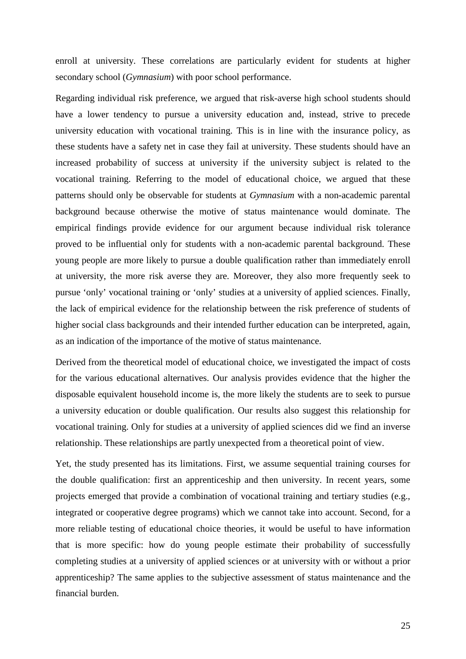enroll at university. These correlations are particularly evident for students at higher secondary school (*Gymnasium*) with poor school performance.

Regarding individual risk preference, we argued that risk-averse high school students should have a lower tendency to pursue a university education and, instead, strive to precede university education with vocational training. This is in line with the insurance policy, as these students have a safety net in case they fail at university. These students should have an increased probability of success at university if the university subject is related to the vocational training. Referring to the model of educational choice, we argued that these patterns should only be observable for students at *Gymnasium* with a non-academic parental background because otherwise the motive of status maintenance would dominate. The empirical findings provide evidence for our argument because individual risk tolerance proved to be influential only for students with a non-academic parental background. These young people are more likely to pursue a double qualification rather than immediately enroll at university, the more risk averse they are. Moreover, they also more frequently seek to pursue 'only' vocational training or 'only' studies at a university of applied sciences. Finally, the lack of empirical evidence for the relationship between the risk preference of students of higher social class backgrounds and their intended further education can be interpreted, again, as an indication of the importance of the motive of status maintenance.

Derived from the theoretical model of educational choice, we investigated the impact of costs for the various educational alternatives. Our analysis provides evidence that the higher the disposable equivalent household income is, the more likely the students are to seek to pursue a university education or double qualification. Our results also suggest this relationship for vocational training. Only for studies at a university of applied sciences did we find an inverse relationship. These relationships are partly unexpected from a theoretical point of view.

Yet, the study presented has its limitations. First, we assume sequential training courses for the double qualification: first an apprenticeship and then university. In recent years, some projects emerged that provide a combination of vocational training and tertiary studies (e.g., integrated or cooperative degree programs) which we cannot take into account. Second, for a more reliable testing of educational choice theories, it would be useful to have information that is more specific: how do young people estimate their probability of successfully completing studies at a university of applied sciences or at university with or without a prior apprenticeship? The same applies to the subjective assessment of status maintenance and the financial burden.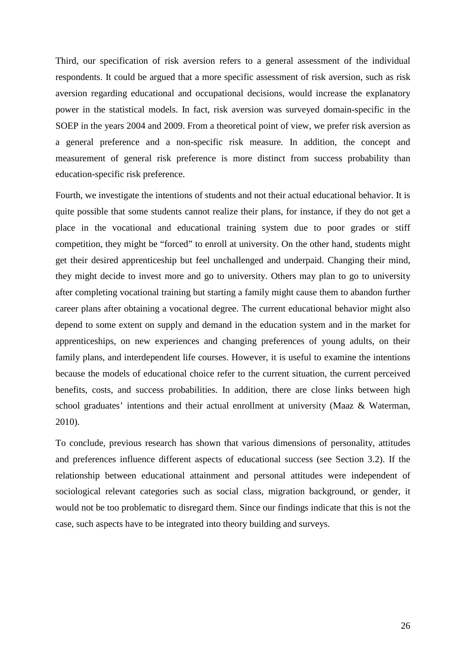Third, our specification of risk aversion refers to a general assessment of the individual respondents. It could be argued that a more specific assessment of risk aversion, such as risk aversion regarding educational and occupational decisions, would increase the explanatory power in the statistical models. In fact, risk aversion was surveyed domain-specific in the SOEP in the years 2004 and 2009. From a theoretical point of view, we prefer risk aversion as a general preference and a non-specific risk measure. In addition, the concept and measurement of general risk preference is more distinct from success probability than education-specific risk preference.

Fourth, we investigate the intentions of students and not their actual educational behavior. It is quite possible that some students cannot realize their plans, for instance, if they do not get a place in the vocational and educational training system due to poor grades or stiff competition, they might be "forced" to enroll at university. On the other hand, students might get their desired apprenticeship but feel unchallenged and underpaid. Changing their mind, they might decide to invest more and go to university. Others may plan to go to university after completing vocational training but starting a family might cause them to abandon further career plans after obtaining a vocational degree. The current educational behavior might also depend to some extent on supply and demand in the education system and in the market for apprenticeships, on new experiences and changing preferences of young adults, on their family plans, and interdependent life courses. However, it is useful to examine the intentions because the models of educational choice refer to the current situation, the current perceived benefits, costs, and success probabilities. In addition, there are close links between high school graduates' intentions and their actual enrollment at university (Maaz & Waterman, 2010).

To conclude, previous research has shown that various dimensions of personality, attitudes and preferences influence different aspects of educational success (see Section 3.2). If the relationship between educational attainment and personal attitudes were independent of sociological relevant categories such as social class, migration background, or gender, it would not be too problematic to disregard them. Since our findings indicate that this is not the case, such aspects have to be integrated into theory building and surveys.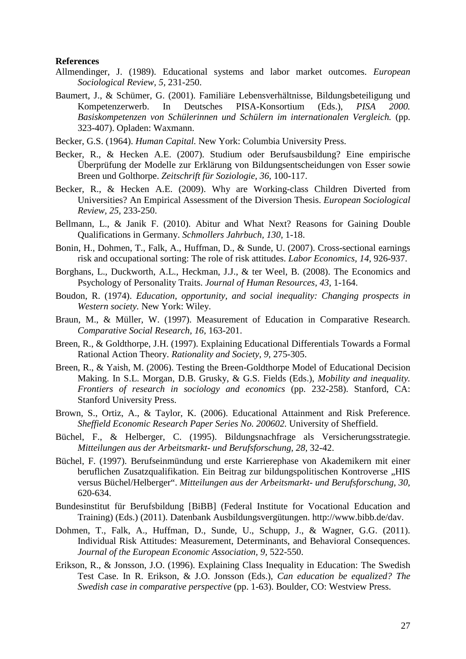#### **References**

- Allmendinger, J. (1989). Educational systems and labor market outcomes. *European Sociological Review, 5,* 231-250.
- Baumert, J., & Schümer, G. (2001). Familiäre Lebensverhältnisse, Bildungsbeteiligung und Kompetenzerwerb. In Deutsches PISA-Konsortium (Eds.), *PISA 2000. Basiskompetenzen von Schülerinnen und Schülern im internationalen Vergleich.* (pp. 323-407). Opladen: Waxmann.
- Becker, G.S. (1964). *Human Capital.* New York: Columbia University Press.
- Becker, R., & Hecken A.E. (2007). Studium oder Berufsausbildung? Eine empirische Überprüfung der Modelle zur Erklärung von Bildungsentscheidungen von Esser sowie Breen und Golthorpe. *Zeitschrift für Soziologie, 36,* 100-117.
- Becker, R., & Hecken A.E. (2009). Why are Working-class Children Diverted from Universities? An Empirical Assessment of the Diversion Thesis. *European Sociological Review, 25,* 233-250.
- Bellmann, L., & Janik F. (2010). Abitur and What Next? Reasons for Gaining Double Qualifications in Germany. *Schmollers Jahrbuch, 130,* 1-18.
- Bonin, H., Dohmen, T., Falk, A., Huffman, D., & Sunde, U. (2007). Cross-sectional earnings risk and occupational sorting: The role of risk attitudes. *Labor Economics, 14,* 926-937.
- Borghans, L., Duckworth, A.L., Heckman, J.J., & ter Weel, B. (2008). The Economics and Psychology of Personality Traits. *Journal of Human Resources, 43,* 1-164.
- Boudon, R. (1974). *Education, opportunity, and social inequality: Changing prospects in Western society.* New York: Wiley.
- Braun, M., & Müller, W. (1997). Measurement of Education in Comparative Research. *Comparative Social Research, 16,* 163-201.
- Breen, R., & Goldthorpe, J.H. (1997). Explaining Educational Differentials Towards a Formal Rational Action Theory. *Rationality and Society, 9,* 275-305.
- Breen, R., & Yaish, M. (2006). Testing the Breen-Goldthorpe Model of Educational Decision Making. In S.L. Morgan, D.B. Grusky, & G.S. Fields (Eds.), *Mobility and inequality. Frontiers of research in sociology and economics* (pp. 232-258). Stanford, CA: Stanford University Press.
- Brown, S., Ortiz, A., & Taylor, K. (2006). Educational Attainment and Risk Preference. *Sheffield Economic Research Paper Series No. 200602.* University of Sheffield.
- Büchel, F., & Helberger, C. (1995). Bildungsnachfrage als Versicherungsstrategie. *Mitteilungen aus der Arbeitsmarkt- und Berufsforschung, 28,* 32-42.
- Büchel, F. (1997). Berufseinmündung und erste Karrierephase von Akademikern mit einer beruflichen Zusatzqualifikation. Ein Beitrag zur bildungspolitischen Kontroverse "HIS versus Büchel/Helberger". *Mitteilungen aus der Arbeitsmarkt- und Berufsforschung, 30,* 620-634.
- Bundesinstitut für Berufsbildung [BiBB] (Federal Institute for Vocational Education and Training) (Eds.) (2011). Datenbank Ausbildungsvergütungen. [http://www.bibb.de/dav.](http://www.bibb.de/dav)
- Dohmen, T., Falk, A., Huffman, D., Sunde, U., Schupp, J., & Wagner, G.G. (2011). Individual Risk Attitudes: Measurement, Determinants, and Behavioral Consequences. *Journal of the European Economic Association, [9,](http://onlinelibrary.wiley.com/doi/10.1111/jeea.2011.9.issue-3/issuetoc)* 522-550.
- Erikson, R., & Jonsson, J.O. (1996). Explaining Class Inequality in Education: The Swedish Test Case. In R. Erikson, & J.O. Jonsson (Eds.), *Can education be equalized? The Swedish case in comparative perspective* (pp. 1-63). Boulder, CO: Westview Press.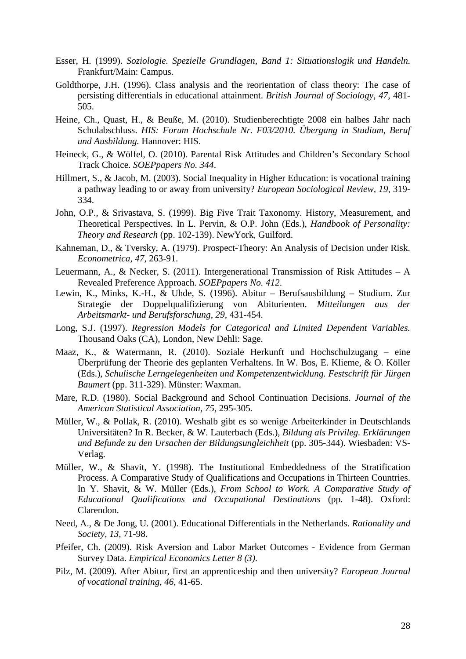- Esser, H. (1999). *Soziologie. Spezielle Grundlagen, Band 1: Situationslogik und Handeln.* Frankfurt/Main: Campus.
- Goldthorpe, J.H. (1996). Class analysis and the reorientation of class theory: The case of persisting differentials in educational attainment. *British Journal of Sociology, 47,* 481- 505.
- Heine, Ch., Quast, H., & Beuße, M. (2010). Studienberechtigte 2008 ein halbes Jahr nach Schulabschluss. *HIS: Forum Hochschule Nr. F03/2010. Übergang in Studium, Beruf und Ausbildung.* Hannover: HIS.
- Heineck, G., & Wölfel, O. (2010). Parental Risk Attitudes and Children's Secondary School Track Choice. *SOEPpapers No. 344*.
- Hillmert, S., & Jacob, M. (2003). Social Inequality in Higher Education: is vocational training a pathway leading to or away from university? *European Sociological Review, 19,* 319- 334.
- John, O.P., & Srivastava, S. (1999). Big Five Trait Taxonomy. History, Measurement, and Theoretical Perspectives. In L. Pervin, & O.P. John (Eds.), *Handbook of Personality: Theory and Research* (pp. 102-139). NewYork, Guilford.
- Kahneman, D., & Tversky, A. (1979). Prospect-Theory: An Analysis of Decision under Risk. *Econometrica, 47,* 263-91.
- Leuermann, A., & Necker, S. (2011). Intergenerational Transmission of Risk Attitudes A Revealed Preference Approach. *SOEPpapers No. 412*.
- Lewin, K., Minks, K.-H., & Uhde, S. (1996). Abitur Berufsausbildung Studium. Zur Strategie der Doppelqualifizierung von Abiturienten. *Mitteilungen aus der Arbeitsmarkt- und Berufsforschung, 29,* 431-454.
- Long, S.J. (1997). *Regression Models for Categorical and Limited Dependent Variables.* Thousand Oaks (CA), London, New Dehli: Sage.
- Maaz, K., & Watermann, R. (2010). Soziale Herkunft und Hochschulzugang eine Überprüfung der Theorie des geplanten Verhaltens. In W. Bos, E. Klieme, & O. Köller (Eds.), *Schulische Lerngelegenheiten und Kompetenzentwicklung. Festschrift für Jürgen Baumert* (pp. 311-329). Münster: Waxman.
- Mare, R.D. (1980). Social Background and School Continuation Decisions. *Journal of the American Statistical Association, 75,* 295-305.
- Müller, W., & Pollak, R. (2010). Weshalb gibt es so wenige Arbeiterkinder in Deutschlands Universitäten? In R. Becker, & W. Lauterbach (Eds.), *Bildung als Privileg. Erklärungen und Befunde zu den Ursachen der Bildungsungleichheit* (pp. 305-344). Wiesbaden: VS-Verlag.
- Müller, W., & Shavit, Y. (1998). The Institutional Embeddedness of the Stratification Process. A Comparative Study of Qualifications and Occupations in Thirteen Countries. In Y. Shavit, & W. Müller (Eds.), *From School to Work. A Comparative Study of Educational Qualifications and Occupational Destinations* (pp. 1-48). Oxford: Clarendon.
- Need, A., & De Jong, U. (2001). Educational Differentials in the Netherlands. *Rationality and Society, 13,* 71-98.
- Pfeifer, Ch. (2009). Risk Aversion and Labor Market Outcomes Evidence from German Survey Data. *Empirical Economics Letter 8 (3)*.
- Pilz, M. (2009). After Abitur, first an apprenticeship and then university? *European Journal of vocational training, 46,* 41-65.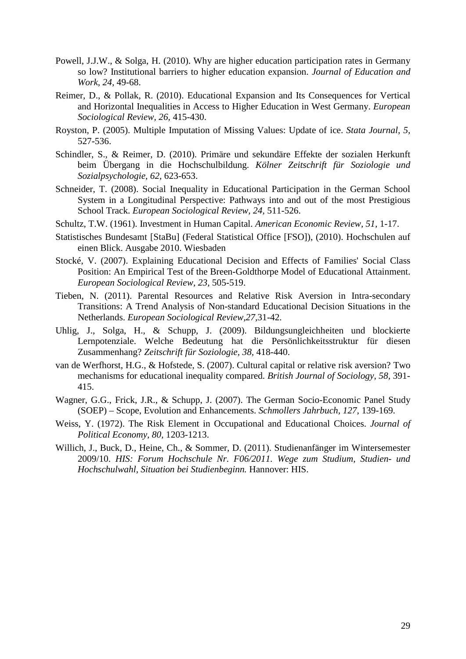- Powell, J.J.W., & Solga, H. (2010). [Why are higher education participation rates in Germany](http://www.wzb.eu/bal/aam/pdf/powell-solga2011_whylesshighereducexpansiongermany.pdf)  [so low? I](http://www.wzb.eu/bal/aam/pdf/powell-solga2011_whylesshighereducexpansiongermany.pdf)nstitutional barriers to higher education expansion. *Journal of Education and Work, 24,* 49-68.
- Reimer, D., & Pollak, R. (2010). Educational Expansion and Its Consequences for Vertical and Horizontal Inequalities in Access to Higher Education in West Germany. *European Sociological Review, 26,* 415-430.
- Royston, P. (2005). Multiple Imputation of Missing Values: Update of ice. *Stata Journal, 5,* 527-536.
- Schindler, S., & Reimer, D. (2010). Primäre und sekundäre Effekte der sozialen Herkunft beim Übergang in die Hochschulbildung. *Kölner Zeitschrift für Soziologie und Sozialpsychologie, 62,* 623-653.
- Schneider, T. (2008). Social Inequality in Educational Participation in the German School System in a Longitudinal Perspective: Pathways into and out of the most Prestigious School Track. *European Sociological Review, 24,* 511-526.
- Schultz, T.W. (1961). Investment in Human Capital. *American Economic Review, 51,* 1-17.
- Statistisches Bundesamt [StaBu] (Federal Statistical Office [FSO]), (2010). Hochschulen auf einen Blick. Ausgabe 2010. Wiesbaden
- Stocké, V. (2007). Explaining Educational Decision and Effects of Families' Social Class Position: An Empirical Test of the Breen-Goldthorpe Model of Educational Attainment. *European Sociological Review, 23,* 505-519.
- Tieben, N. (2011). Parental Resources and Relative Risk Aversion in Intra-secondary Transitions: A Trend Analysis of Non-standard Educational Decision Situations in the Netherlands. *European Sociological Review,27,*31-42.
- Uhlig, J., Solga, H., & Schupp, J. (2009). Bildungsungleichheiten und blockierte Lernpotenziale. Welche Bedeutung hat die Persönlichkeitsstruktur für diesen Zusammenhang? *Zeitschrift für Soziologie, 38,* 418-440.
- van de Werfhorst, H.G., & Hofstede, S. (2007). Cultural capital or relative risk aversion? Two mechanisms for educational inequality compared. *British Journal of Sociology*, *58,* 391- 415.
- Wagner, G.G., Frick, J.R., & Schupp, J. (2007). [The German Socio-Economic Panel Study](http://www.diw.de/documents/dokumentenarchiv/17/diw_01.c.77277.de/schmoller_wagner_etal_2007.pdf)  [\(SOEP\) – Scope, Evolution and Enhancements.](http://www.diw.de/documents/dokumentenarchiv/17/diw_01.c.77277.de/schmoller_wagner_etal_2007.pdf) *Schmollers Jahrbuch, 127,* 139-169.
- Weiss, Y. (1972). The Risk Element in Occupational and Educational Choices. *Journal of Political Economy, 80,* 1203-1213.
- Willich, J., Buck, D., Heine, Ch., & Sommer, D. (2011). Studienanfänger im Wintersemester 2009/10. *HIS: Forum Hochschule Nr. F06/2011. Wege zum Studium, Studien- und Hochschulwahl, Situation bei Studienbeginn.* Hannover: HIS.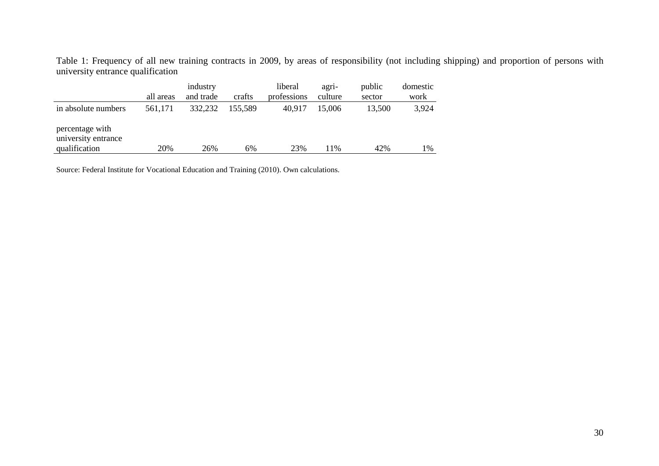Table 1: Frequency of all new training contracts in 2009, by areas of responsibility (not including shipping) and proportion of persons with [university](http://www.dict.cc/englisch-deutsch/%5Buniversity%5D.html) [entrance](http://www.dict.cc/englisch-deutsch/%5Bentrance%5D.html) [qualification](http://www.dict.cc/englisch-deutsch/%5Bqualification%5D.html)

|                                                         |           | industry  |         | liberal     | agri-   | public | domestic |
|---------------------------------------------------------|-----------|-----------|---------|-------------|---------|--------|----------|
|                                                         | all areas | and trade | crafts  | professions | culture | sector | work     |
| in absolute numbers                                     | 561,171   | 332,232   | 155,589 | 40,917      | 15,006  | 13,500 | 3,924    |
| percentage with<br>university entrance<br>qualification | 20%       | 26%       | 6%      | 23%         | 11%     | 42%    | 1%       |

Source: Federal Institute for Vocational Education and Training (2010). Own calculations.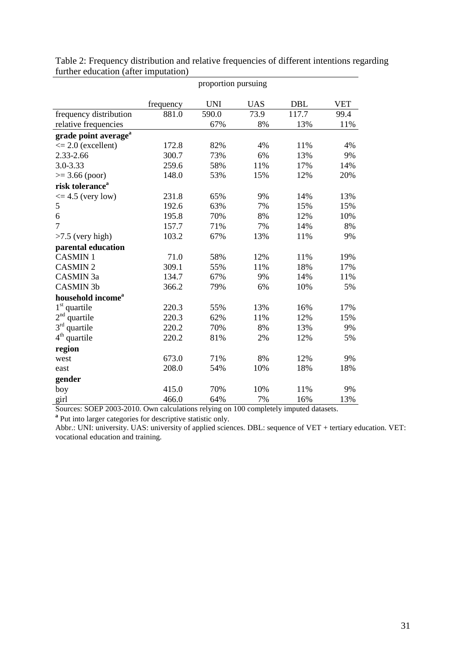|                                  | proportion pursuing |            |            |            |            |  |  |  |  |
|----------------------------------|---------------------|------------|------------|------------|------------|--|--|--|--|
|                                  | frequency           | <b>UNI</b> | <b>UAS</b> | <b>DBL</b> | <b>VET</b> |  |  |  |  |
| frequency distribution           | 881.0               | 590.0      | 73.9       | 117.7      | 99.4       |  |  |  |  |
| relative frequencies             |                     | 67%        | 8%         | 13%        | 11%        |  |  |  |  |
| grade point average <sup>a</sup> |                     |            |            |            |            |  |  |  |  |
| $\leq$ 2.0 (excellent)           | 172.8               | 82%        | 4%         | 11%        | 4%         |  |  |  |  |
| 2.33-2.66                        | 300.7               | 73%        | 6%         | 13%        | 9%         |  |  |  |  |
| 3.0-3.33                         | 259.6               | 58%        | 11%        | 17%        | 14%        |  |  |  |  |
| $>= 3.66$ (poor)                 | 148.0               | 53%        | 15%        | 12%        | 20%        |  |  |  |  |
| risk tolerance <sup>a</sup>      |                     |            |            |            |            |  |  |  |  |
| $\leq$ 4.5 (very low)            | 231.8               | 65%        | 9%         | 14%        | 13%        |  |  |  |  |
| 5                                | 192.6               | 63%        | 7%         | 15%        | 15%        |  |  |  |  |
| 6                                | 195.8               | 70%        | 8%         | 12%        | 10%        |  |  |  |  |
| $\overline{7}$                   | 157.7               | 71%        | 7%         | 14%        | 8%         |  |  |  |  |
| $>7.5$ (very high)               | 103.2               | 67%        | 13%        | 11%        | 9%         |  |  |  |  |
| parental education               |                     |            |            |            |            |  |  |  |  |
| <b>CASMIN1</b>                   | 71.0                | 58%        | 12%        | 11%        | 19%        |  |  |  |  |
| <b>CASMIN2</b>                   | 309.1               | 55%        | 11%        | 18%        | 17%        |  |  |  |  |
| CASMIN 3a                        | 134.7               | 67%        | 9%         | 14%        | 11%        |  |  |  |  |
| <b>CASMIN 3b</b>                 | 366.2               | 79%        | 6%         | 10%        | 5%         |  |  |  |  |
| household income <sup>a</sup>    |                     |            |            |            |            |  |  |  |  |
| $1st$ quartile                   | 220.3               | 55%        | 13%        | 16%        | 17%        |  |  |  |  |
| $2^{\rm nd}$<br>quartile         | 220.3               | 62%        | 11%        | 12%        | 15%        |  |  |  |  |
| 3 <sup>rd</sup><br>quartile      | 220.2               | 70%        | 8%         | 13%        | 9%         |  |  |  |  |
| $4th$ quartile                   | 220.2               | 81%        | 2%         | 12%        | 5%         |  |  |  |  |
| region                           |                     |            |            |            |            |  |  |  |  |
| west                             | 673.0               | 71%        | 8%         | 12%        | 9%         |  |  |  |  |
| east                             | 208.0               | 54%        | 10%        | 18%        | 18%        |  |  |  |  |
| gender                           |                     |            |            |            |            |  |  |  |  |
| boy                              | 415.0               | 70%        | 10%        | 11%        | 9%         |  |  |  |  |
| girl                             | 466.0               | 64%        | 7%         | 16%        | 13%        |  |  |  |  |

Table 2: Frequency distribution and relative frequencies of different intentions regarding further education (after imputation)

Sources: SOEP 2003-2010. Own calculations relying on 100 completely imputed datasets. **<sup>a</sup>** Put into larger categories for descriptive statistic only.

Abbr.: UNI: university. UAS: university of applied sciences. DBL: sequence of VET + tertiary education. VET: vocational education and training.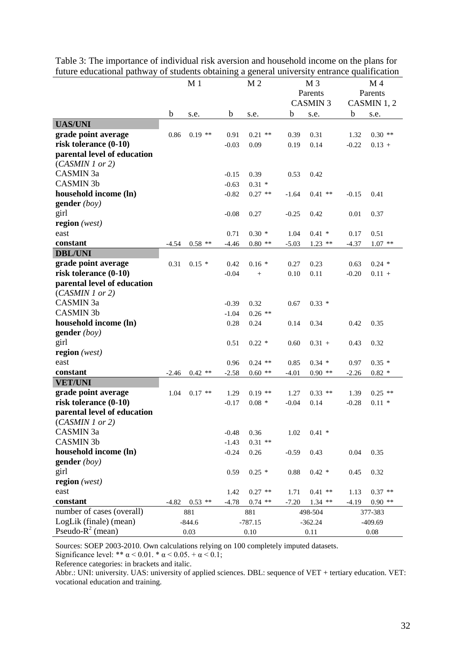|                             | M <sub>1</sub> |           | M <sub>2</sub> |                   | M <sub>3</sub> |           | M <sub>4</sub> |           |  |
|-----------------------------|----------------|-----------|----------------|-------------------|----------------|-----------|----------------|-----------|--|
|                             |                |           |                |                   |                | Parents   |                | Parents   |  |
|                             |                |           |                |                   | <b>CASMIN3</b> |           | CASMIN 1, 2    |           |  |
|                             | b              | s.e.      | b              | s.e.              | $\mathbf b$    | s.e.      | b              | s.e.      |  |
| <b>UAS/UNI</b>              |                |           |                |                   |                |           |                |           |  |
| grade point average         | 0.86           | $0.19$ ** | 0.91           | $0.21$ **         | 0.39           | 0.31      | 1.32           | $0.30$ ** |  |
| risk tolerance (0-10)       |                |           | $-0.03$        | 0.09              | 0.19           | 0.14      | $-0.22$        | $0.13 +$  |  |
| parental level of education |                |           |                |                   |                |           |                |           |  |
| (CASMIN 1 or 2)             |                |           |                |                   |                |           |                |           |  |
| CASMIN 3a                   |                |           | $-0.15$        | 0.39              | 0.53           | 0.42      |                |           |  |
| <b>CASMIN 3b</b>            |                |           | $-0.63$        | $0.31 *$          |                |           |                |           |  |
| household income (ln)       |                |           | $-0.82$        | $0.27$ **         | $-1.64$        | $0.41$ ** | $-0.15$        | 0.41      |  |
| gender $(boy)$              |                |           |                |                   |                |           |                |           |  |
| girl                        |                |           | $-0.08$        | 0.27              | $-0.25$        | 0.42      | 0.01           | 0.37      |  |
| region $(west)$             |                |           |                |                   |                |           |                |           |  |
| east                        |                |           | 0.71           | $0.30*$           | 1.04           | $0.41 *$  | 0.17           | 0.51      |  |
| constant                    | $-4.54$        | $0.58$ ** | $-4.46$        | $0.80$ **         | $-5.03$        | $1.23$ ** | $-4.37$        | $1.07$ ** |  |
| <b>DBL/UNI</b>              |                |           |                |                   |                |           |                |           |  |
| grade point average         | 0.31           | $0.15*$   | 0.42           | $0.16*$           | 0.27           | 0.23      | 0.63           | $0.24$ *  |  |
| risk tolerance (0-10)       |                |           | $-0.04$        | $\qquad \qquad +$ | 0.10           | 0.11      | $-0.20$        | $0.11 +$  |  |
| parental level of education |                |           |                |                   |                |           |                |           |  |
| (CASMIN 1 or 2)             |                |           |                |                   |                |           |                |           |  |
| CASMIN 3a                   |                |           | $-0.39$        | 0.32              | 0.67           | $0.33*$   |                |           |  |
| <b>CASMIN 3b</b>            |                |           | $-1.04$        | $0.26$ **         |                |           |                |           |  |
| household income (ln)       |                |           | 0.28           | 0.24              | 0.14           | 0.34      | 0.42           | 0.35      |  |
| gender $(boy)$              |                |           |                |                   |                |           |                |           |  |
| girl                        |                |           | 0.51           | $0.22*$           | 0.60           | $0.31 +$  | 0.43           | 0.32      |  |
| region (west)               |                |           |                |                   |                |           |                |           |  |
| east                        |                |           | 0.96           | $0.24$ **         | 0.85           | $0.34*$   | 0.97           | $0.35*$   |  |
| constant                    | $-2.46$        | $0.42$ ** | $-2.58$        | $0.60$ **         | $-4.01$        | $0.90$ ** | $-2.26$        | $0.82*$   |  |
| <b>VET/UNI</b>              |                |           |                |                   |                |           |                |           |  |
| grade point average         | 1.04           | $0.17$ ** | 1.29           | $0.19$ **         | 1.27           | $0.33$ ** | 1.39           | $0.25$ ** |  |
| risk tolerance (0-10)       |                |           | $-0.17$        | $0.08 *$          | $-0.04$        | 0.14      | $-0.28$        | $0.11 *$  |  |
| parental level of education |                |           |                |                   |                |           |                |           |  |
| (CASMIN 1 or 2)             |                |           |                |                   |                |           |                |           |  |
| CASMIN 3a                   |                |           | $-0.48$        | 0.36              | 1.02           | $0.41 *$  |                |           |  |
| <b>CASMIN 3b</b>            |                |           | $-1.43$        | $0.31$ **         |                |           |                |           |  |
| household income (ln)       |                |           | $-0.24$        | 0.26              | $-0.59$        | 0.43      | 0.04           | 0.35      |  |
| gender $(boy)$              |                |           |                |                   |                |           |                |           |  |
| girl                        |                |           | 0.59           | $0.25*$           | 0.88           | $0.42*$   | 0.45           | 0.32      |  |
| region $(west)$             |                |           |                |                   |                |           |                |           |  |
| east                        |                |           | 1.42           | $0.27$ **         | 1.71           | $0.41$ ** | 1.13           | $0.37$ ** |  |
| constant                    | $-4.82$        | $0.53$ ** | $-4.78$        | $0.74$ **         | $-7.20$        | $1.34$ ** | $-4.19$        | $0.90**$  |  |
| number of cases (overall)   |                | 881       |                | 881               |                | 498-504   |                | 377-383   |  |
| LogLik (finale) (mean)      |                | $-844.6$  |                | $-787.15$         |                | $-362.24$ |                | $-409.69$ |  |
| Pseudo- $R^2$ (mean)        |                | 0.03      |                | $0.10\,$          |                | 0.11      |                | $0.08\,$  |  |

Table 3: The importance of individual risk aversion and household income on the plans for future educational pathway of students obtaining a general university entrance qualification

Sources: SOEP 2003-2010. Own calculations relying on 100 completely imputed datasets.

Significance level: \*\*  $\alpha$  < 0.01. \*  $\alpha$  < 0.05. +  $\alpha$  < 0.1;

Reference categories: in brackets and italic.

Abbr.: UNI: university. UAS: university of applied sciences. DBL: sequence of VET + tertiary education. VET: vocational education and training.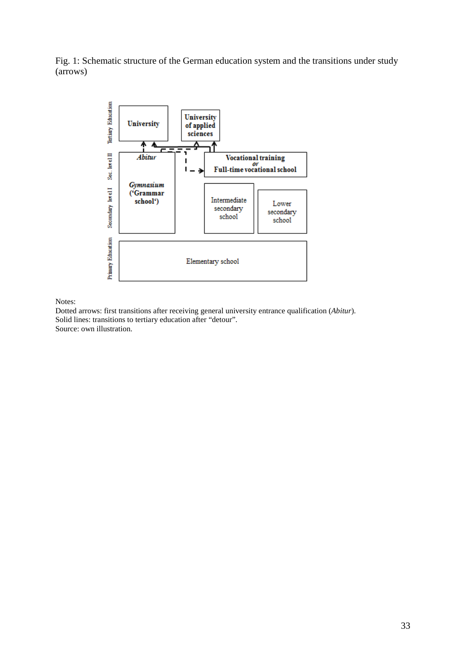Fig. 1: Schematic structure of the German education system and the transitions under study (arrows)



Notes:

Dotted arrows: first transitions after receiving general university entrance qualification (*Abitur*). Solid lines: transitions to tertiary education after "detour". Source: own illustration.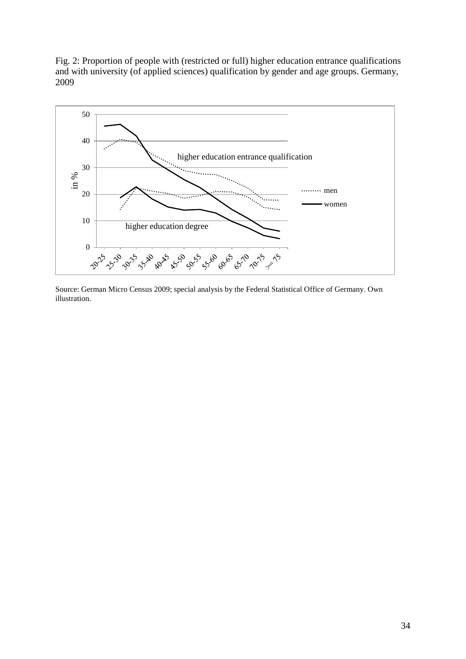Fig. 2: Proportion of people with (restricted or full) higher education entrance qualifications and with university (of applied sciences) qualification by gender and age groups. Germany, 2009



Source: German Micro Census 2009; special analysis by the Federal Statistical Office of Germany. Own illustration.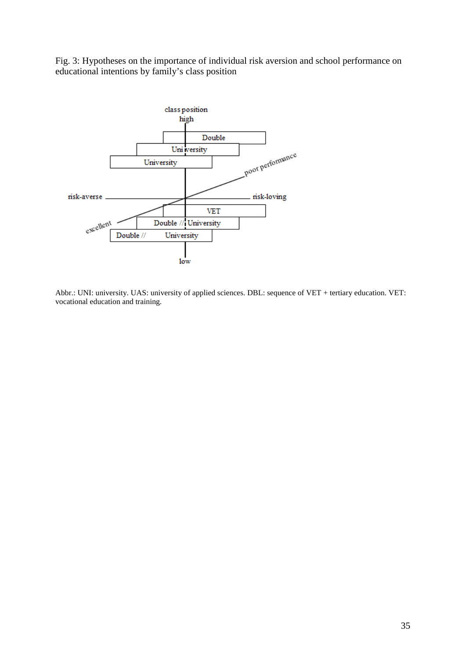Fig. 3: Hypotheses on the importance of individual risk aversion and school performance on educational intentions by family's class position



Abbr.: UNI: university. UAS: university of applied sciences. DBL: sequence of VET + tertiary education. VET: vocational education and training.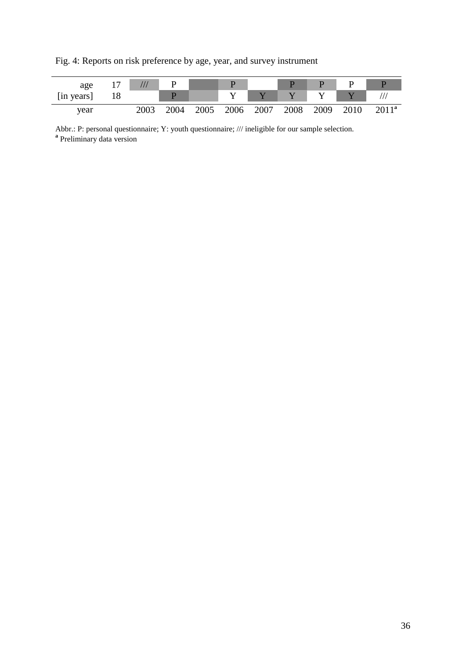Fig. 4: Reports on risk preference by age, year, and survey instrument



Abbr.: P: personal questionnaire; Y: youth questionnaire; /// ineligible for our sample selection. **<sup>a</sup>** Preliminary data version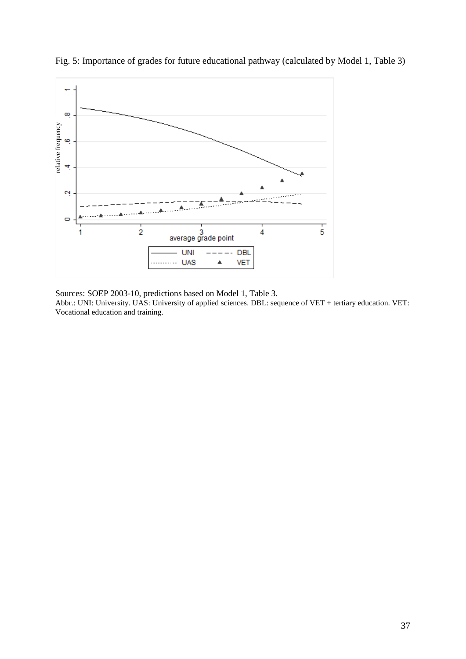

Fig. 5: Importance of grades for future educational pathway (calculated by Model 1, Table 3)

Sources: SOEP 2003-10, predictions based on Model 1, Table 3. Abbr.: UNI: University. UAS: University of applied sciences. DBL: sequence of VET + tertiary education. VET: Vocational education and training.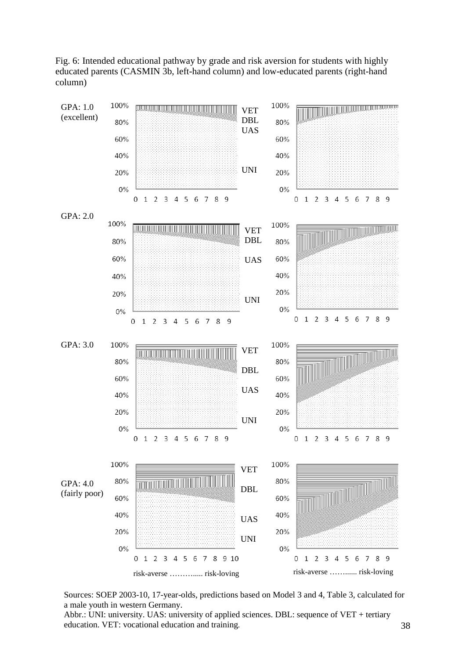Fig. 6: Intended educational pathway by grade and risk aversion for students with highly educated parents (CASMIN 3b, left-hand column) and low-educated parents (right-hand column)



Sources: SOEP 2003-10, 17-year-olds, predictions based on Model 3 and 4, Table 3, calculated for a male youth in western Germany.

Abbr.: UNI: university. UAS: university of applied sciences. DBL: sequence of VET + tertiary education. VET: vocational education and training.